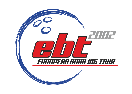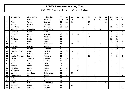| P                       | Last name        | First name     | Federation  | T.  | 01             | 02             | 03 | 04 | 05               | 06             | 07 | 08 | 09             | 10             | $11$           |
|-------------------------|------------------|----------------|-------------|-----|----------------|----------------|----|----|------------------|----------------|----|----|----------------|----------------|----------------|
| $\mathbf 1$             | Lund             | <b>Bettina</b> | Denmark     | 179 | 30             | 30             |    | 10 | $\boldsymbol{6}$ | 6              | 30 | 30 | 18             | 15             | $\overline{4}$ |
| $\overline{2}$          | Petty            | Tanya          | Germany     | 65  | 21             | 10             |    |    | 18               |                |    | 15 |                | $\mathbf{1}$   |                |
| 3                       | Penny            | Kirsten        | England     | 64  |                |                |    |    | 30               |                |    |    |                | $\overline{4}$ | 30             |
| 4                       | <b>Brondsted</b> | <b>Britt</b>   | Denmark     | 60  | 10             |                |    | 6  |                  | 21             |    |    | 15             | 6              | $\overline{2}$ |
| 5                       | Van den Boogaart | Annemiek       | Netherlands | 60  |                | 6              |    | 30 |                  | 12             | 12 |    |                |                |                |
| 6                       | Johnsson         | Helen          | Sweden      | 59  |                | 12             |    | 18 | 5                |                |    |    | $\overline{2}$ | $\overline{4}$ | 18             |
| $\overline{\mathbf{z}}$ | Schwarz          | Patricia       | Germany     | 53  | $\overline{4}$ | 6              | 30 |    | $\overline{2}$   |                |    |    | $\mathbf{1}$   | 5              | 5              |
| 8                       | Tchu             | Iben           | Denmark     | 53  |                |                |    |    | 21               |                |    |    | $\overline{2}$ | 30             |                |
| 9                       | Pöllänen         | Krista         | Finland     | 51  |                |                |    |    |                  |                |    |    | 30             | 21             |                |
| 10                      | Lundèn           | Reija          | Finland     | 49  |                |                | 12 |    | $\overline{4}$   |                |    |    | 12             | 18             | 3              |
| 11                      | Greiner          | Ross           | Netherlands | 46  |                | 15             |    |    |                  | 5              | 21 |    |                | $\overline{4}$ | $\mathbf{1}$   |
| 12                      | Kjeldsen         | Kamilla        | Denmark     | 45  |                |                |    | 15 | $\overline{2}$   | 18             |    |    |                | 10             |                |
| 13                      | <b>Beckel</b>    | Martina        | Germany     | 42  |                | $\mathbf{1}$   |    |    | 3                | $\overline{2}$ |    |    | 21             | 12             | $\mathbf{3}$   |
| 14                      | Mattsson-Baard   | Anna           | Sweden      | 37  | 4              | 5              | 5  |    | $\overline{4}$   | $\overline{4}$ | 15 |    |                |                |                |
| 15                      | Kukkula          | Katriina       | Finland     | 36  | 18             |                | 5  |    | 6                |                |    |    | 6              | $\mathbf{1}$   |                |
| 16                      | Houbo Pedersen   | Lotte          | Denmark     | 35  | $\overline{4}$ |                |    |    | 15               |                | 6  |    | 5              | 3              | $\overline{2}$ |
| 17                      | Olsson           | Susanne        | Sweden      | 34  | 15             | $\overline{2}$ | 5  |    |                  |                |    |    |                |                | 12             |
| 18                      | Haglund          | Linda          | Sweden      | 33  | 3              |                |    |    | $\mathbf{1}$     |                | 18 | 4  | $\mathbf{1}$   |                | 6              |
| 19                      | Abela            | Sue            | Malta       | 31  |                |                |    |    |                  | 30             |    |    |                | $\mathbf{1}$   |                |
| 20                      | Kantola          | Piritta        | Finland     | 25  | $\mathfrak{Z}$ |                | 10 |    | 6                |                |    |    | 6              |                |                |
| 21                      | Pulliainen       | Leena          | Finland     | 24  | 5              |                | 6  |    | $\mathbf{3}$     |                |    |    |                |                | 10             |
| 22                      | Kalliokoski      | Mari           | Finland     | 23  | $\overline{2}$ |                | 21 |    |                  |                |    |    |                |                |                |
| 23                      | de Win           | Angelique      | Netherlands | 22  |                | 18             |    |    |                  |                |    |    |                | $\overline{4}$ |                |
| 24                      | Ginge Jensen     | Mai            | Denmark     | 21  | $\overline{4}$ |                |    | 6  | $\overline{4}$   | 3              |    |    |                |                | $\overline{4}$ |
| 25                      | Göbel            | Alexandra      | Germany     | 21  |                | $\mathbf{1}$   |    |    | 2                | 15             |    | 3  |                |                |                |
| 26                      | Hjelm            | Janni          | Denmark     | 21  |                |                |    | 21 |                  |                |    |    |                |                |                |
| 27                      | Manico           | Bigi           | Switzerland | 21  |                |                |    |    |                  |                |    | 21 |                |                |                |
| 28                      | Saldjian         | Isabelle       | France      | 21  |                | 21             |    |    |                  |                |    |    |                |                |                |
| 29                      | Erlandsson       | Susanne        | Sweden      | 21  |                |                |    |    |                  |                |    |    |                |                | 21             |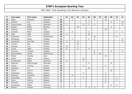| P  | Last name    | First name   | Federation  | $\mathsf{T}$            | 01             | 02           | 03             | 04             | 05             | 06             | 07 | 08             | 09             | 10             | $11$           |
|----|--------------|--------------|-------------|-------------------------|----------------|--------------|----------------|----------------|----------------|----------------|----|----------------|----------------|----------------|----------------|
| 30 | Göbel        | Michaela     | Germany     | 20                      |                | 5            |                |                | $\mathbf{1}$   | $\overline{2}$ |    | 10             |                | $\overline{2}$ |                |
| 31 | Jönsson      | Eva          | Sweden      | 20                      |                |              |                |                | $\mathbf{1}$   |                |    |                | $\overline{4}$ |                | 15             |
| 32 | Ginge Jensen | Anja         | Denmark     | 19                      | $\overline{2}$ |              |                | $\overline{4}$ | $\overline{2}$ | 5              |    |                |                |                | 6              |
| 33 | Hansen       | Mette        | Norway      | 19                      |                |              | 18             |                |                |                |    |                | $\mathbf{1}$   |                |                |
| 34 | Galeone      | Nicola       | Italy       | 18                      |                |              |                |                |                |                |    | 18             |                |                |                |
| 35 | Glendert     | Malin        | Sweden      | 16                      |                | 3            |                |                | 3              |                |    |                |                | 5              | 5              |
| 36 | Allen        | Heta         | Finland     | 16                      | $\overline{4}$ |              |                |                | 12             |                |    |                |                |                |                |
| 37 | Koopmans     | Chris        | Netherlands | 16                      |                |              |                |                |                | 10             |    |                |                | 6              |                |
| 38 | Alfredsson   | Diana        | Sweden      | 15                      |                | $\mathbf{1}$ |                |                | $\overline{4}$ | $\overline{4}$ |    |                |                |                | 6              |
| 39 | Liljankoski  | Ann-Mari     | Finland     | 15                      | 5              |              | 6              |                |                |                |    |                |                |                | $\overline{4}$ |
| 40 | Larsson      | Åsa          | Sweden      | 15                      |                |              | 15             |                |                |                |    |                |                |                |                |
| 41 | Ruhkala      | Suvi         | Finland     | 15                      | 12             |              | 3              |                |                |                |    |                |                |                |                |
| 42 | Larnia       | Heidi        | Finland     | 14                      | 6              |              | $\overline{4}$ |                | $\overline{4}$ |                |    |                |                |                |                |
| 43 | Carlsson     | Christel     | Sweden      | 13                      |                |              |                |                |                | 6              |    |                | 4              |                | 3              |
| 44 | Pascoal-Blom | Farida       | Netherlands | 12                      |                |              |                |                |                | $\overline{2}$ | 10 |                |                |                |                |
| 45 | Pialino      | Daniela      | Italy       | 12                      |                |              |                |                |                |                |    | 12             |                |                |                |
| 46 | Zorba        | Aleka        | Greece      | 12                      |                |              |                | 12             |                |                |    |                |                |                |                |
| 47 | Christiansen | Mette        | Denmark     | 11                      | 6              |              |                | 5              |                |                |    |                |                |                |                |
| 48 | Pedersen     | Randi Kryger | Denmark     | 11                      |                |              |                |                | 5              |                |    |                | 6              |                |                |
| 49 | Fotinia      | Cristina     | Greece      | 10                      |                |              |                | 6              |                |                |    | 4              |                |                |                |
| 50 | Jakobsen     | Siv          | Norway      | 10                      |                |              |                |                | 10             |                |    |                |                |                |                |
| 51 | Olsson       | Jessica      | Sweden      | 10                      |                |              |                |                |                |                |    |                | 10             |                |                |
| 52 | Karatzoula   | Martha       | Greece      | 8                       |                |              |                | 5              |                |                |    | 3              |                |                |                |
| 53 | Peelman      | Sandrine     | Belgium     | 8                       |                | 6            |                |                |                |                |    | $\overline{2}$ |                |                |                |
| 54 | Poulitsidou  | Helen        | Greece      | 8                       |                |              |                | 3              |                |                |    | $\overline{2}$ |                | 3              |                |
| 55 | Verzu        | Patricia     | Belgium     | 8                       |                |              |                |                |                |                |    | 6              |                | $\overline{2}$ |                |
| 56 | Altmüller    | Ivonne       | Austria     | $\overline{7}$          |                | 3            |                |                |                |                |    | $\overline{4}$ |                |                |                |
| 57 | Kristiansen  | Mette        | Denmark     | $\overline{\mathbf{z}}$ |                |              |                |                |                |                |    |                | $\overline{4}$ | 3              |                |
| 58 | Mirchel      | Andrea       | Germany     | $\overline{7}$          |                |              |                |                | 3              | $\overline{4}$ |    |                |                |                |                |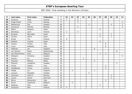| $\mathsf P$ | Last name      | First name | Federation  | $\mathbf{T}$   | 01           | 02             | 03 | 04 | 05             | 06 | 07             | 08 | 09             | 10 | 11             |
|-------------|----------------|------------|-------------|----------------|--------------|----------------|----|----|----------------|----|----------------|----|----------------|----|----------------|
| 59          | Savenius       | Salla      | Finland     | $\overline{7}$ | $\mathbf{1}$ |                | 6  |    |                |    |                |    |                |    |                |
| 60          | Kragh Eckell   | Irene      | Norway      | $\overline{7}$ |              |                | 4  |    |                |    |                |    |                |    | 3              |
| 61          | Wetterlund     | Åsa        | Sweden      | 6              |              |                |    |    | $\mathbf{1}$   |    |                |    | $\overline{4}$ |    | $\mathbf{1}$   |
| 62          | Gunnerud       | Pernilla   | Norway      | 6              |              |                | 4  |    |                |    |                |    |                |    | $\overline{2}$ |
| 63          | Albert         | Milagros   | Spain       | 6              |              |                |    |    |                |    | 6              |    |                |    |                |
| 64          | Blomberg       | Jenni      | Finland     | 6              | 3            |                | 3  |    |                |    |                |    |                |    |                |
| 65          | <b>Burgues</b> | Mercedes   | Spain       | 6              |              |                |    |    |                |    | $\overline{4}$ |    | $\overline{2}$ |    |                |
| 66          | Canosa         | Marta      | Spain       | 6              |              |                |    |    |                |    | 5              |    | $\mathbf{1}$   |    |                |
| 67          | Einola         | Tiia       | Finland     | 6              | 6            |                |    |    |                |    |                |    |                |    |                |
| 68          | Esteban        | Virginia   | Spain       | 6              |              |                |    |    |                |    | 6              |    |                |    |                |
| 69          | Fasano         | Teresa     | Italy       | 6              |              |                |    |    |                |    |                | 6  |                |    |                |
| 70          | Fusco          | Raffaella  | Italy       | 6              |              |                |    |    |                |    |                | 6  |                |    |                |
| 71          | Hollands       | Jan        | England     | 6              |              |                |    |    |                | 6  |                |    |                |    |                |
| 72          | van Hemert     | Paula      | Netherlands | 6              |              |                |    |    |                |    |                |    |                | 6  |                |
| 73          | Van Wassenhove | Anja       | Belgium     | 6              |              |                |    |    |                |    | 3              | 3  |                |    |                |
| 74          | Dahlgren       | Christina  | Sweden      | 5              |              |                |    |    |                |    |                |    |                |    | 5              |
| 75          | Alexiou        | Evi        | Greece      | 5              |              |                |    | 5  |                |    |                |    |                |    |                |
| 76          | Anastasi       | Melissa    | Malta       | 5              |              |                |    |    |                | 5  |                |    |                |    |                |
| 77          | Eliasson       | Josephine  | Sweden      | 5              |              |                |    |    |                |    |                |    |                | 5  |                |
| 78          | Farkas         | Sabine     | Italy       | 5              |              |                |    |    |                |    |                | 5  |                |    |                |
| 79          | Ganglbauer     | Ursula     | Austria     | 5              |              |                |    |    |                |    |                | 5  |                |    |                |
| 80          | Hodge          | Jan        | England     | 5              |              | $\overline{4}$ |    |    |                | 1  |                |    |                |    |                |
| 81          | Jansson        | Elisabeth  | Sweden      | 5              |              |                |    |    | $\overline{5}$ |    |                |    |                |    |                |
| 82          | Johansen       | Anita E.   | Norway      | 5              |              |                |    |    |                |    |                |    | 5              |    |                |
| 83          | Larsen         | Hanne      | Denmark     | 5              |              |                |    |    |                |    |                |    | 5              |    |                |
| 84          | Morra          | Alessandra | Italy       | 5              |              |                |    |    |                |    |                | 5  |                |    |                |
| 85          | Ravez          | Stephanie  | Belgium     | 5              |              | 5              |    |    |                |    |                |    |                |    |                |
| 86          | Rodenas        | Pilar      | Spain       | 5              |              |                |    |    |                |    | 5              |    |                |    |                |
| 87          | Santonen       | Mari       | Finland     | 5              | 5            |                |    |    |                |    |                |    |                |    |                |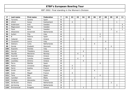| P   | Last name      | First name | Federation  | $\mathbf{T}$            | 01 | 02             | 03             | 04             | 05 | 06             | 07             | 08             | 09             | 10             | 11             |
|-----|----------------|------------|-------------|-------------------------|----|----------------|----------------|----------------|----|----------------|----------------|----------------|----------------|----------------|----------------|
| 88  | Torrents       | Sandra     | Spain       | 5                       |    |                |                |                |    |                | 5              |                |                |                |                |
| 89  | Uhlich         | Sonja      | Switzerland | 5                       |    | $\overline{4}$ |                |                |    |                |                |                |                | $\mathbf{1}$   |                |
| 90  | Andersson      | Anki       | Sweden      | 4                       |    |                |                |                |    |                |                |                |                |                | 4              |
| 91  | Magnusson      | Pernilla   | Sweden      | $\overline{\mathbf{4}}$ |    |                |                |                |    |                |                |                |                |                | $\overline{4}$ |
| 92  | Flack          | Nina       | Sweden      | $\overline{\mathbf{4}}$ |    |                |                |                |    |                |                |                | $\mathfrak{Z}$ |                | $\mathbf{1}$   |
| 93  | Altewisher     | Annemiek   | Netherlands | 4                       |    |                |                |                |    |                |                |                |                | $\overline{4}$ |                |
| 94  | Autieri        | Filly      | Italy       | 4                       |    |                |                |                |    |                | $\overline{4}$ |                |                |                |                |
| 95  | B              | Paloma     | Spain       | 4                       |    |                |                |                |    |                | 4              |                |                |                |                |
| 96  | Cabanet        | Helen      | Greece      | 4                       |    |                |                | $\overline{4}$ |    |                |                |                |                |                |                |
| 97  | Cavazzini      | Laura      | Italy       | 4                       |    |                |                |                |    |                |                | $\overline{4}$ |                |                |                |
| 98  | <b>Dekkers</b> | Carla      | Netherlands | 4                       |    |                |                |                |    | $\overline{4}$ |                |                |                |                |                |
| 99  | Donde          | Elsebeth   | Denmark     | 4                       |    |                |                |                |    |                |                |                | $\overline{4}$ |                |                |
| 100 | Esposito       | Daniela    | Italy       | $\overline{\mathbf{4}}$ |    |                |                |                |    |                |                | 4              |                |                |                |
| 101 | Gavriel        | Theodora   | Greece      | 4                       |    |                |                | $\overline{4}$ |    |                |                |                |                |                |                |
| 102 | Haukås         | Marianne   | Norway      | 4                       |    |                | $\overline{4}$ |                |    |                |                |                |                |                |                |
| 103 | Kosmidi        | Natassa    | Greece      | 4                       |    |                |                | 4              |    |                |                |                |                |                |                |
| 104 | Lindqvist      | Camilla    | Sweden      | 4                       |    |                | $\overline{4}$ |                |    |                |                |                |                |                |                |
| 105 | Loukidou       | Dimitra    | Greece      | 4                       |    |                |                | 4              |    |                |                |                |                |                |                |
| 106 | Parra          | Matilde    | Spain       | $\overline{\mathbf{4}}$ |    |                |                |                |    |                | $\overline{4}$ |                |                |                |                |
| 107 | Relick         | Christine  | Belgium     | 4                       |    | $\overline{4}$ |                |                |    |                |                |                |                |                |                |
| 108 | Serre          | Audrey     | France      | 4                       |    | $\overline{4}$ |                |                |    |                |                |                |                |                |                |
| 109 | Smith          | Ann        | England     | 4                       |    |                |                |                |    | 4              |                |                |                |                |                |
| 110 | Soler          | Magali     | France      | $\overline{\mathbf{4}}$ |    | $\overline{4}$ |                |                |    |                |                |                |                |                |                |
| 111 | Tena           | Mar        | Spain       | 4                       |    |                |                |                |    |                | $\overline{4}$ |                |                |                |                |
| 112 | Camilleri      | Doris      | Malta       | 3                       |    |                |                |                |    | 3              |                |                |                |                |                |
| 113 | Combes         | Alexandra  | France      | 3                       |    | 3              |                |                |    |                |                |                |                |                |                |
| 114 | de Bruine      | Diana      | Netherlands | 3                       |    |                |                |                |    |                |                |                | 3              |                |                |
| 115 | de Koning      | Fiona      | Netherlands | 3                       |    |                |                |                |    |                |                |                |                | $\mathfrak{Z}$ |                |
| 116 | Emmanouel      | Evagelia   | Greece      | 3                       |    |                |                | 3              |    |                |                |                |                |                |                |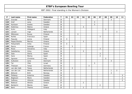| P   | Last name    | First name      | Federation  | $\mathbf{T}$            | 01 | 02 | 03 | 04             | 05             | 06             | 07             | 08 | 09           | 10             | 11             |
|-----|--------------|-----------------|-------------|-------------------------|----|----|----|----------------|----------------|----------------|----------------|----|--------------|----------------|----------------|
| 117 | Gravdal      | Bente           | Denmark     | 3                       |    |    |    |                |                |                |                |    | 3            |                |                |
| 118 | Gref         | Lena            | Sweden      | $\mathbf{3}$            |    |    |    |                |                | 3              |                |    |              |                |                |
| 119 | Karlsson     | Anette          | Sweden      | 3                       |    |    |    |                |                | $\mathfrak{Z}$ |                |    |              |                |                |
| 120 | Kokkinou     | Matina          | Greece      | 3                       |    |    |    | 3              |                |                |                |    |              |                |                |
| 121 | Kuhn         | Hildegard       | Italy       | $\mathbf{3}$            |    |    |    |                |                |                |                | 3  |              |                |                |
| 122 | Lensen       | Inge            | Netherlands | $\mathbf{3}$            |    |    |    |                |                |                |                |    |              | 3              |                |
| 123 | Mikkonen     | Ruusa           | Finland     | 3                       |    |    | 3  |                |                |                |                |    |              |                |                |
| 124 | Nuñez        | Francisca       | Spain       | 3                       |    |    |    |                |                |                | 3              |    |              |                |                |
| 125 | Paavola      | Jonna           | Finland     | $\mathbf{3}$            | 3  |    |    |                |                |                |                |    |              |                |                |
| 126 | Papac/Doulou | Marina          | Greece      | 3                       |    |    |    | 3              |                |                |                |    |              |                |                |
| 127 | Pohjanlahti  | Anita           | Finland     | 3                       | 3  |    |    |                |                |                |                |    |              |                |                |
| 128 | Racca        | Solange         | France      | 3                       |    | 3  |    |                |                |                |                |    |              |                |                |
| 129 | Rizzo        | Giovanna        | Italy       | 3                       |    |    |    |                |                |                | 3              |    |              |                |                |
| 130 | Sakellariou  | <b>Vicky</b>    | Greece      | $\overline{\mathbf{3}}$ |    |    |    | 3              |                |                |                |    |              |                |                |
| 131 | Sala         | Gloria          | Spain       | $\mathbf{3}$            |    |    |    |                |                |                | $\mathfrak{Z}$ |    |              |                |                |
| 132 | Sanz         | Marisa          | Spain       | $\mathbf{3}$            |    |    |    |                |                |                | 3              |    |              |                |                |
| 133 | Sgrosso      | Christina       | Italy       | $\overline{\mathbf{3}}$ |    |    |    |                |                |                |                | 3  |              |                |                |
| 134 | Sulkanen     | Lena            | Denmark     | 3                       |    |    |    |                |                |                |                |    | 3            |                |                |
| 135 | Tal          | Yifat           | Israel      | $\overline{\mathbf{3}}$ |    |    |    |                |                | 3              |                |    |              |                |                |
| 136 | Theissen     | Tanja           | Germany     | 3                       |    |    |    |                | $\mathfrak{Z}$ |                |                |    |              |                |                |
| 137 | van den Valk | Tessa           | Netherlands | $\mathbf{3}$            |    | 3  |    |                |                |                |                |    |              |                |                |
| 138 | van der List | Wendy           | Netherlands | 3                       |    |    |    |                |                |                |                |    | $\mathbf{1}$ | $\overline{2}$ |                |
| 139 | Østlund      | <b>Britt</b>    | Norway      | $\mathbf{3}$            |    |    |    |                |                |                |                |    | 3            |                |                |
| 140 | Östberg      | Katarina        | Sweden      | 3                       |    |    |    |                |                |                |                |    |              |                | $\mathbf{3}$   |
| 141 | Begtsson     | Marie           | Sweden      | $\overline{2}$          |    |    |    |                |                |                |                |    |              |                | $\overline{2}$ |
| 142 | Sofkova      | Viktoria        | Sweden      | $\overline{2}$          |    |    |    |                |                |                |                |    |              |                | $\overline{2}$ |
| 143 | Babousi      | <b>Alkistis</b> | Greece      | $\overline{2}$          |    |    |    | $\overline{2}$ |                |                |                |    |              |                |                |
| 144 | Barberini    | Marzia          | Spain       | $\overline{\mathbf{2}}$ |    |    |    |                |                |                | $\overline{2}$ |    |              |                |                |
| 145 | Berti        | Themis          | Greece      | $\overline{2}$          |    |    |    | $\overline{a}$ |                |                |                |    |              |                |                |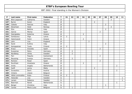| P   | Last name             | First name  | Federation  | $\mathbf{T}$            | 01             | 02             | 03 | 04             | 05             | 06             | 07             | 08             | 09             | 10             | 11           |
|-----|-----------------------|-------------|-------------|-------------------------|----------------|----------------|----|----------------|----------------|----------------|----------------|----------------|----------------|----------------|--------------|
| 146 | <b>Blixt-Jeppsson</b> | Catharina   | Sweden      | $\overline{\mathbf{2}}$ |                |                |    |                |                |                |                |                | $\overline{2}$ |                |              |
| 147 | <b>Byrne</b>          | Karen       | England     | $\overline{2}$          |                |                |    |                |                | $\overline{2}$ |                |                |                |                |              |
| 148 | Celesto               | Patrizia    | Italy       | $\overline{2}$          |                |                |    |                |                |                |                | $\overline{2}$ |                |                |              |
| 149 | Edvartsen             | Heidi       | Norway      | $\overline{2}$          |                |                |    |                |                |                |                |                | $\overline{2}$ |                |              |
| 150 | Elzo                  | Bettina     | Italy       | $\overline{\mathbf{2}}$ |                |                |    |                |                |                |                | $\overline{2}$ |                |                |              |
| 151 | Garcia                | Marisa      | Spain       | $\overline{2}$          |                |                |    |                |                |                | $\overline{2}$ |                |                |                |              |
| 152 | Georgiadou            | Katerina    | Greece      | $\overline{2}$          |                |                |    | $\overline{2}$ |                |                |                |                |                |                |              |
| 153 | Gorbaceva             | Olga        | Latvia      | $\overline{2}$          | $\overline{2}$ |                |    |                |                |                |                |                |                |                |              |
| 154 | Hatzimanoli           | Fotini      | Greece      | $\overline{2}$          |                |                |    | $\overline{2}$ |                |                |                |                |                |                |              |
| 155 | John                  | Lisa        | England     | $\overline{2}$          |                |                |    |                | $\overline{2}$ |                |                |                |                |                |              |
| 156 | Karel                 | Kultina     | Italy       | $\overline{2}$          |                |                |    |                |                |                |                | $\overline{2}$ |                |                |              |
| 157 | Kemppainen            | Tuula       | Finland     | $\overline{2}$          | $\overline{2}$ |                |    |                |                |                |                |                |                |                |              |
| 158 | <b>Kraus</b>          | Graciela    | Spain       | $\overline{2}$          |                |                |    |                |                |                | $\overline{2}$ |                |                |                |              |
| 159 | Kusserow              | Petra       | Germany     | $\overline{\mathbf{2}}$ |                | $\overline{2}$ |    |                |                |                |                |                |                |                |              |
| 160 | Nordberg              | Ulrika      | Sweden      | $\overline{2}$          |                | $\overline{2}$ |    |                |                |                |                |                |                |                |              |
| 161 | Pari                  | Paquita     | Switzerland | $\overline{2}$          |                |                |    |                |                |                | $\overline{2}$ |                |                |                |              |
| 162 | Reussing              | Svenja      | Germany     | $\overline{2}$          |                | $\overline{2}$ |    |                |                |                |                |                |                |                |              |
| 163 | Romero                | Roser       | Spain       | $\overline{\mathbf{2}}$ |                |                |    |                |                |                | 2              |                |                |                |              |
| 164 | Rovithaki             | Anastasia   | Greece      | $\overline{2}$          |                |                |    | $\overline{2}$ |                |                |                |                |                |                |              |
| 165 | Smits                 | Angela      | Netherlands | $\overline{\mathbf{2}}$ |                |                |    |                |                |                |                |                |                | $\overline{2}$ |              |
| 166 | Swift                 | Jenny       | Malta       | $\overline{2}$          |                |                |    |                |                | 2              |                |                |                |                |              |
| 167 | Szvasztics            | Doris       | Austria     | $\overline{\mathbf{2}}$ |                |                |    |                |                |                |                |                |                | $\overline{2}$ |              |
| 168 | Vintens               | Liliane     | Belgium     | $\overline{2}$          |                | $\overline{2}$ |    |                |                |                |                |                |                |                |              |
| 169 | Vähä-Lummukka         | Kaija       | Finland     | $\overline{2}$          | 2              |                |    |                |                |                |                |                |                |                |              |
| 170 | Helander              | Lisa        | Sweden      | 1                       |                |                |    |                |                |                |                |                |                |                | $\mathbf{1}$ |
| 171 | Larsen                | Rebecca     | Sweden      | 1                       |                |                |    |                |                |                |                |                |                |                | $\mathbf{1}$ |
| 172 | Beerman               | Nanet       | Netherlands | 1                       |                |                |    |                |                |                |                |                |                | $\mathbf{1}$   |              |
| 173 | Berger                | Christina   | Italy       | 1                       |                |                |    |                |                |                |                | $\mathbf{1}$   |                |                |              |
| 174 | Carola                | Maria Luisa | Belgium     | 1                       |                | $\mathbf{1}$   |    |                |                |                |                |                |                |                |              |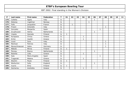| P   | Last name      | First name    | Federation  | т | 01           | 02 | 03 | 04           | 05 | 06 | 07           | 08           | 09 | 10 <sub>o</sub> | 11 |
|-----|----------------|---------------|-------------|---|--------------|----|----|--------------|----|----|--------------|--------------|----|-----------------|----|
| 175 | Colletta       | Agata         | Italy       | 1 |              |    |    |              |    | 1  |              |              |    |                 |    |
| 176 | Delaney        | Ingelimar     | Norway      | 1 |              |    |    |              | 1  |    |              |              |    |                 |    |
| 177 | Follo          | Jacqueline    | France      | 1 |              |    |    |              |    |    |              |              |    |                 |    |
| 178 | Frisoni        | Antonello     | Italy       | 1 |              |    |    |              |    |    |              | $\mathbf{1}$ |    |                 |    |
| 179 | Gonzalez       | Margarita     | Spain       | 1 |              |    |    |              |    |    | $\mathbf{1}$ |              |    |                 |    |
| 180 | Gruijthuizen   | Helma         | Netherlands | 1 |              |    |    |              |    | 1  |              |              |    |                 |    |
| 181 | Impola         | Hannele       | Finland     | 1 | 1            |    |    |              |    |    |              |              |    |                 |    |
| 182 | Karapasia      | Chrisa        | Greece      | 1 |              |    |    |              |    |    |              |              |    |                 |    |
| 183 | Kiritsi        | Vasiliki      | Greece      | 1 |              |    |    | 1            |    |    |              |              |    |                 |    |
| 184 | Liuzzi         | Sara          | Italy       | 1 |              |    |    |              |    |    |              | 1            |    |                 |    |
| 185 | Mantoan        | Patrizia      | Italy       | 1 |              |    |    |              |    |    |              | 1            |    |                 |    |
| 186 | Maraschhaeuser | Heiko         | Germany     | 1 |              |    |    |              |    |    |              | 1            |    |                 |    |
| 187 | Mäkelä         | Minna         | Finland     | 1 | 1            |    |    |              |    |    |              |              |    |                 |    |
| 188 | Piereau        | <b>Bianca</b> | Netherlands | 1 |              |    |    |              |    | 1  |              |              |    |                 |    |
| 189 | Reterba        | Lidia         | Greece      | 1 |              |    |    | $\mathbf{1}$ |    |    |              |              |    |                 |    |
| 190 | Sala           | Maria Angeles | Spain       | 1 |              |    |    |              |    |    | $\mathbf{1}$ |              |    |                 |    |
| 191 | Traganaki      | Malena        | Greece      | 1 |              |    |    | 1            |    |    |              |              |    |                 |    |
| 192 | Wacklin        | Paula         | Finland     | 1 | $\mathbf{1}$ |    |    |              |    |    |              |              |    |                 |    |
| 193 | Warburton      | Sally         | England     | 1 |              |    |    |              |    | 1  |              |              |    |                 |    |
| 194 | Vuorio         | Elina         | Finland     | 1 | $\mathbf{1}$ |    |    |              |    |    |              |              |    |                 |    |
| 195 | Zachariou      | Andrietta     | Greece      | 1 |              |    |    | 1            |    |    |              |              |    |                 |    |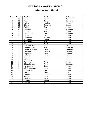### **Ballmaster Open / Finland**

| Pos.            | <b>Points</b>           | Last name        | First name   | Federation |
|-----------------|-------------------------|------------------|--------------|------------|
| 1               | 30                      | Lund             | Bettina      | Denmark    |
| $\overline{2}$  | 21                      | Petty            | Tanya        | Germany    |
| $\overline{3}$  | 18                      | Kukkula          | Katriina     | Finland    |
| 4               | 15                      | Olsson           | Susanne      | Sweden     |
| 5               | 12                      | Ruhkala          | Suvi         | Finland    |
| 6               | 10                      | <b>Brondsted</b> | <b>Britt</b> | Denmark    |
| $\overline{7}$  | 6                       | Einola           | Tiia         | Finland    |
| 8               | 6                       | Kristiansen      | Mette        | Denmark    |
| 9               | 6                       | Larnia           | Heidi        | Finland    |
| 10              | 5                       | Liljankoski      | Ann-Mari     | Finland    |
| 11              | $\overline{5}$          | Pulliainen       | Leena        | Finland    |
| 12              | $\overline{5}$          | Santonen         | Mari         | Finland    |
| 13              | $\overline{\mathbf{4}}$ | Allen            | Heta         | Finland    |
| 14              | $\overline{4}$          | Mattsson-Baard   | Anna         | Sweden     |
| 15              | $\overline{\mathbf{4}}$ | Ginge Jensen     | Mai          | Denmark    |
| 16              | $\overline{\mathbf{4}}$ | Houbo Pedersen   | Lotte        | Denmark    |
| 17              | $\overline{\mathbf{4}}$ | Schwarz          | Patricia     | Germany    |
| 18              | $\overline{3}$          | Haglund          | Linda        | Sweden     |
| 19              | $\overline{3}$          | Kantola          | Piritta      | Finland    |
| 20              | $\overline{3}$          | Paavola          | Jonna        | Finland    |
| 21              | $\overline{3}$          | Blomberg         | Jenni        | Finland    |
| 22              | $\overline{3}$          | Pohjanlahti      | Anita        | Finland    |
| 23              | $\overline{2}$          | Ginge Jensen     | Anja         | Denmark    |
| 24              | $\overline{2}$          | Kemppainen       | Tuula        | Finland    |
| $\overline{25}$ | $\overline{2}$          | Vähä-Lummukka    | Kaija        | Finland    |
| 26              | $\overline{2}$          | Kalliokoski      | Mari         | Finland    |
| 27              | $\overline{2}$          | Gorbaceva        | Olga         | Latvia     |
| 28              | 1                       | Impola           | Hannele      | Finland    |
| 29              | 1                       | Vuorio           | Elina        | Finland    |
| 30              | 1                       | Savenius         | Salla        | Finland    |
| 31              | 1                       | Mäkelä           | Minna        | Finland    |
| 32              | 1                       | Wacklin          | Paula        | Finland    |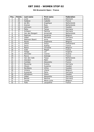#### **5th Brunswick Open / France**

| Pos.                     | <b>Points</b>           | Last name       | <b>First name</b> | Federation  |
|--------------------------|-------------------------|-----------------|-------------------|-------------|
| 1                        | 30                      | Lund            | <b>Bettina</b>    | Denmark     |
| $\overline{2}$           | 21                      | Saldjian        | Isabelle          | France      |
| $\overline{3}$           | 18                      | de Win          | Angelique         | Netherlands |
| $\overline{\mathcal{A}}$ | 15                      | Greiner         | <b>Ross</b>       | Netherlands |
| 5                        | 12                      | Johnsson        | Helen             | Sweden      |
| 6                        | 10                      | Petty           | Tanya             | Germany     |
| $\overline{7}$           | 6                       | Schwarz         | Patricia          | Germany     |
| 8                        | 6                       | Van den Boogart | Annemiek          | Netherlands |
| 9                        | 6                       | Peelman         | Sandrine          | Belgium     |
| 10                       | 5                       | Göbel           | Michaela          | Germany     |
| 11                       | $\overline{5}$          | Mattsson Baard  | Anna              | Sweden      |
| 12                       | $\overline{5}$          | Ravez           | Stephanie         | Belgium     |
| 13                       | $\overline{\mathbf{4}}$ | Uhlich          | Sonja             | Switzerland |
| 14                       | $\overline{4}$          | Serre           | Audrey            | France      |
| 15                       | $\overline{\mathbf{4}}$ | Relick          | Christine         | Belgium     |
| 16                       | $\overline{4}$          | Soler           | Magali            | France      |
| 17                       | $\overline{4}$          | Hodge           | Jan               | England     |
| 18                       | $\overline{3}$          | Altmüller       | Ivonne            | Austria     |
| 19                       | $\overline{3}$          | Racca           | Solange           | France      |
| 20                       | $\overline{3}$          | Van den Valk    | Tessa             | Netherlands |
| $\overline{21}$          | $\overline{3}$          | Glendert        | Malin             | Sweden      |
| 22                       | $\overline{3}$          | Combes          | Alexandra         | France      |
| 23                       | $\overline{2}$          | Reussing        | Svenja            | Germany     |
| 24                       | $\overline{2}$          | Olsson          | Susanne           | Sweden      |
| $\overline{25}$          | $\overline{2}$          | Nordberg        | Ulrika            | Sweden      |
| 26                       | $\overline{2}$          | <b>Vintens</b>  | Liliane           | Belgium     |
| 27                       | $\overline{2}$          | Kusserow        | Petra             | Germany     |
| 28                       | 1                       | Alfredsson      | Diana             | Sweden      |
| 29                       | 1                       | Göbel           | Alexandra         | Germany     |
| 30                       | 1                       | <b>Beckel</b>   | Martina           | Germany     |
| 31                       | 1                       | Carola          | Maria Luisa       | Belgium     |
| 32                       | 1                       | Follo           | Jacqueline        | France      |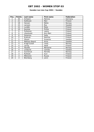### **Sweden Les Lion Cup 2002 / Sweden**

| Pos.           | <b>Points</b> | Last name     | First name | Federation |
|----------------|---------------|---------------|------------|------------|
|                | 30            | Schwarz       | Patricia   | Germany    |
| $\overline{2}$ | 21            | Kallikoski    | Mari       | Finland    |
| 3              | 18            | Hansen        | Mette      | Norway     |
| 4              | 15            | Larsson       | Åsa        | Sweden     |
| 5              | 12            | Lundèn        | Reija      | Finland    |
| 6              | 10            | Kantola       | Piritta    | Finland    |
| 7              | 6             | Pulliainen    | Leena      | Finland    |
| 8              | 6             | Liljankoski   | Ann-Mari   | Finland    |
| 9              | 6             | Savenius      | Salla      | Finland    |
| 10             | 5             | Kukkula       | Katriina   | Finland    |
| 11             | 5             | Olsson        | Susanne    | Sweden     |
| 12             | 5             | Mattson-Baard | Anna       | Sweden     |
| 13             | 4             | Kragh Eckell  | Irene      | Norway     |
| 14             | 4             | Larnia        | Heidi      | Finland    |
| 15             | 4             | Haukås        | Marianne   | Norway     |
| 16             | 4             | Lindqvist     | Camilla    | Sweden     |
| 17             | 4             | Gunnerud      | Pernilla   | Norway     |
| 18             | 3             | Ruhkala       | Suvi       | Finland    |
| 19             | 3             | Mikkonen      | Ruusa      | Finland    |
| 20             | 3             | Blomberg      | Jenni      | Finland    |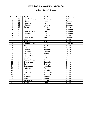#### **Athens Open / Greece**

| Pos.                     | <b>Points</b>           | Last name       | <b>First name</b> | Federation  |
|--------------------------|-------------------------|-----------------|-------------------|-------------|
| 1                        | 30                      | Van den Boogart | Annemiek          | Netherlands |
| $\overline{2}$           | 21                      | Hjelm           | Janni             | Denmark     |
| $\overline{3}$           | 18                      | Johnsson        | Helen             | Sweden      |
| $\overline{\mathcal{A}}$ | 15                      | Kjeldsen        | Kamilla           | Denmark     |
| 5                        | 12                      | Zorba           | Aleka             | Greece      |
| 6                        | 10                      | Lund            | <b>Bettina</b>    | Denmark     |
| $\overline{7}$           | 6                       | Ginge Jensen    | Mai               | Denmark     |
| 8                        | 6                       | <b>Bronsted</b> | <b>Britt</b>      | Denmark     |
| $\overline{9}$           | 6                       | Fotinia         | Cristina          | Greece      |
| 10                       | 5                       | Christiansen    | Mette             | Denmark     |
| 11                       | $\overline{5}$          | Alexiou         | Evi               | Greece      |
| 12                       | 5                       | Karatzoula      | Martha            | Greece      |
| 13                       | $\overline{4}$          | Ginge Jensen    | Anja              | Denmark     |
| 14                       | $\overline{4}$          | Kosmidi         | Natassa           | Greece      |
| 15                       | $\overline{4}$          | Cabanet         | Helen             | Greece      |
| 16                       | $\overline{4}$          | Gavriel         | Theodora          | Greece      |
| 17                       | $\overline{\mathbf{4}}$ | Loukidou        | Dimitra           | Greece      |
| 18                       | $\overline{3}$          | Kokkinou        | Matina            | Greece      |
| 19                       | $\overline{3}$          | Poulitsidou     | Helen             | Greece      |
| 20                       | $\overline{3}$          | Sakellariou     | Vicky             | Greece      |
| $\overline{21}$          | $\overline{3}$          | Papac/Doulou    | Marina            | Greece      |
| 22                       | $\overline{3}$          | Emmanouel       | Evagelia          | Greece      |
| 23                       | $\overline{2}$          | Berti           | Themis            | Greece      |
| $\overline{24}$          | $\overline{2}$          | Georgiadou      | Katerina          | Greece      |
| $\overline{25}$          | $\overline{2}$          | Hatzimanoli     | Fotini            | Greece      |
| 26                       | $\overline{2}$          | Babousi         | <b>Alkistis</b>   | Greece      |
| 27                       | $\overline{2}$          | Rovithaki       | Anastasia         | Greece      |
| 28                       | 1                       | Zachariou       | Andrietta         | Greece      |
| 29                       | 1                       | Traganaki       | Malena            | Greece      |
| 30                       | 1                       | Kiritsi         | Vasiliki          | Greece      |
| 31                       | 1                       | Karapasia       | Chrisa            | Greece      |
| 32                       | 1                       | Reterba         | Lidia             | Greece      |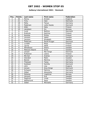### **Aalborg International 2002 / Denmark**

| Pos.            | <b>Points</b>           | Last name     | <b>First name</b> | Federation |
|-----------------|-------------------------|---------------|-------------------|------------|
| 1               | 30                      | Penny         | Kirsten           | England    |
| $\overline{2}$  | 21                      | Tchu          | Iben              | Denmark    |
| $\overline{3}$  | 18                      | Petty         | Tanya             | Germany    |
| 4               | 15                      | Pedersen      | Lotte Haubo       | Denmark    |
| 5               | 12                      | Allén         | Heta              | Finland    |
| 6               | 10                      | Jakobsen      | Siv               | Norway     |
| $\overline{7}$  | 6                       | Lund          | <b>Bettina</b>    | Denmark    |
| 8               | 6                       | Kukkula       | Katriina          | Finland    |
| 9               | 6                       | Kantola       | Piritta           | Finland    |
| 10              | $\overline{5}$          | Jonsson       | Helen             | Sweden     |
| 11              | $\overline{5}$          | Jansson       | Elisabeth         | Sweden     |
| 12              | $\overline{5}$          | Pedersen      | Randi Kryger      | Denmark    |
| 13              | $\overline{\mathbf{4}}$ | Lundén        | Reija             | Finland    |
| 14              | $\overline{4}$          | Larnia        | Heidi             | Finland    |
| 15              | 4                       | Alfredsson    | Diana             | Sweden     |
| 16              | $\overline{\mathbf{4}}$ | Matsson-Baard | Anna              | Sweden     |
| 17              | 4                       | Jensen        | Mai Ginge         | Denmark    |
| 18              | $\overline{3}$          | Pulliainen    | Leena             | Finland    |
| 19              | $\overline{3}$          | Mirchel       | Andrea            | Germany    |
| 20              | $\overline{3}$          | Glendert      | Malin             | Sweden     |
| 21              | $\overline{3}$          | Beckel        | Martina           | Germany    |
| 22              | $\overline{3}$          | Theissen      | Tanja             | Germany    |
| 23              | $\overline{2}$          | Kjeldsen      | Kamilla           | Denmark    |
| 24              | $\overline{2}$          | John          | Lisa              | England    |
| $\overline{25}$ | $\overline{2}$          | Jensen        | Anja Ginge        | Denmark    |
| 26              | $\overline{2}$          | Schwarz       | Patricia          | Germany    |
| 27              | $\overline{2}$          | Göbel         | Alexandra         | Germany    |
| 28              | 1                       | Delaney       | Ingelimar         | Norway     |
| 29              | 1                       | Jönsson       | Eva               | Sweden     |
| 30              | 1                       | Haglund       | Linda             | Sweden     |
| 31              | 1                       | Wetterlund    | Aasa              | Sweden     |
| 32              | 1                       | Göbel         | Michaela          | Germany    |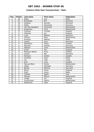### **Vodafone Malta Open Championships / Malta**

| Pos.            | <b>Points</b>           | Last name        | <b>First name</b> | Federation     |
|-----------------|-------------------------|------------------|-------------------|----------------|
| 1               | 30                      | Abela            | Sue               | Malta          |
| $\overline{a}$  | 21                      | Bröndsted        | <b>Brit</b>       | Denmark        |
| $\overline{3}$  | 18                      | Kjeldsen         | Kamilla           | Denmark        |
| 4               | 15                      | Göbel            | Alexandra         | Germany        |
| 5               | 12                      | Van Den Boogaart | Annemiek          | Netherlands    |
| 6               | 10                      | Koopmans         | Chris             | Netherlands    |
| $\overline{7}$  | 6                       | Carlsson         | Christel          | Sweden         |
| 8               | 6                       | Hollands         | Jan               | England        |
| 9               | 6                       | Lund             | <b>Bettina</b>    | <b>Denmark</b> |
| 10              | $\overline{5}$          | Greiner          | Ross              | Netherlands    |
| 11              | $\overline{5}$          | Anastasi         | Melissa           | Malta          |
| 12              | $\overline{5}$          | Jensen           | Anja              | Denmark        |
| 13              | $\overline{\mathbf{4}}$ | Alfredsson       | Diana             | Sweden         |
| 14              | $\overline{\mathbf{4}}$ | Mirschel         | Andrea            | Germany        |
| 15              | $\overline{4}$          | <b>Dekkers</b>   | Carla             | Netherlands    |
| $\overline{16}$ | $\overline{4}$          | Smith            | Ann               | England        |
| 17              | $\overline{4}$          | Mattsson-Baard   | Anna              | Sweden         |
| 18              | $\overline{3}$          | Jensen           | Mai               | Denmark        |
| 19              | $\overline{3}$          | Karlsson         | Anette            | Sweden         |
| 20              | $\overline{3}$          | Camilleri        | Doris             | Malta          |
| 21              | $\overline{3}$          | Tal              | Yifat             | Israel         |
| 22              | $\overline{3}$          | Gref             | Lena              | Sweden         |
| 23              | $\overline{2}$          | Pascoal-Blom     | Farida            | Netherlands    |
| $\overline{24}$ | $\overline{2}$          | Göbel            | Michaela          | Germany        |
| 25              | $\overline{2}$          | <b>Beckel</b>    | Martina           | Germany        |
| 26              | $\overline{2}$          | <b>Byrne</b>     | Karen             | England        |
| 27              | $\overline{2}$          | Swift            | Jenny             | Malta          |
| 28              | 1                       | Colletta         | Agata             | Italy          |
| 29              | 1                       | Piereau          | <b>Bianca</b>     | Netherlands    |
| 30              | 1                       | Hodge            | Jan               | England        |
| 31              | 1                       | Gruijthuizen     | Helma             | Netherlands    |
| $\overline{32}$ | 1                       | Warburton        | Sally             | England        |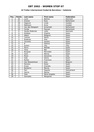#### **24 Trofeo Internacional Ciudad de Barcelona / Catalonia**

| Pos.                     | <b>Points</b>           | Last name        | <b>First name</b> | <b>Federation</b> |
|--------------------------|-------------------------|------------------|-------------------|-------------------|
| 1                        | 30                      | Lund             | <b>Bettina</b>    | Denmark           |
| $\overline{2}$           | 21                      | Greiner          | <b>Ross</b>       | Netherland        |
| 3                        | 18                      | Haglund          | Linda             | Sweden            |
| $\overline{\mathcal{A}}$ | 15                      | Mattsson         | Anna              | Sweden            |
| 5                        | 12                      | Van den Boogaart | Annemiek          | Netherland        |
| 6                        | 10                      | Farida           | Pascoal           | Netherland        |
| $\overline{7}$           | 6                       | Houbo Pedersen   | Lotte             | Denmark           |
| 8                        | 6                       | Esteban          | Virginia          | Spain             |
| 9                        | 6                       | Albert           | Milagros          | Spain             |
| 10                       | 5                       | Canosa           | Marta             | Spain             |
| 11                       | 5                       | Rodenas          | Pilar             | Spain             |
| 12                       | 5                       | Torrents         | Sandra            | Spain             |
| 13                       | $\overline{\mathbf{4}}$ | <sub>B</sub>     | Paloma            | Spain             |
| 14                       | $\overline{\mathbf{4}}$ | Autieri          | Filly             | Italy             |
| 15                       | $\overline{\mathbf{4}}$ | Parra            | Matilde           | Spain             |
| 16                       | 4                       | Tena             | Mar               | Spain             |
| 17                       | 4                       | <b>Burgues</b>   | Mercedes          | Spain             |
| 18                       | $\overline{3}$          | Sanz             | Marisa            | Spain             |
| 19                       | $\overline{3}$          | Rizzo            | Giovanna          | Italy             |
| 20                       | $\overline{3}$          | Sala             | Gloria            | Spain             |
| 21                       | $\overline{3}$          | Nuñez            | Francisca         | Spain             |
| 22                       | $\overline{3}$          | Van Wassenhove   | Anja              | Belgium           |
| 23                       | $\overline{2}$          | Romero           | Roser             | Spain             |
| 24                       | $\overline{2}$          | <b>Kraus</b>     | Graciela          | Spain             |
| 25                       | $\overline{2}$          | Barberini        | Marzia            | Spain             |
| 26                       | $\overline{2}$          | Pari             | Paquita           | Switzerland       |
| 27                       | $\overline{2}$          | Garcia           | Marisa            | Spain             |
| 28                       | 1                       | Sala             | Maria Angeles     | Spain             |
| 29                       | 1                       | Gonzalez         | Margarita         | Spain             |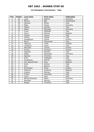### **1st Champions Tournament / Italy**

| Pos.                     | Points                  | Last name      | First name | <b>Federation</b> |
|--------------------------|-------------------------|----------------|------------|-------------------|
| 1                        | 30                      | Lund           | Bettina    | Denmark           |
| $\overline{2}$           | 21                      | Manico         | Bigi       | Switzerland       |
| $\overline{3}$           | 18                      | Galeone        | Nicola     | Italy             |
| $\overline{\mathcal{L}}$ | 15                      | Petty          | Tanya      | Germany           |
| 5                        | 12                      | Pialino        | Daniela    | Italy             |
| 6                        | 10                      | Göbel          | Michaela   | Germany           |
| $\overline{7}$           | 6                       | Fusco          | Raffaella  | Italy             |
| 8                        | 6                       | Verzu          | Patricia   | Belgium           |
| 9                        | 6                       | Fasano         | Teresa     | Italy             |
| 10                       | 5                       | Farkas         | Sabine     | Italy             |
| 11                       | $\overline{5}$          | Ganglbauer     | Ursula     | Austria           |
| 12                       | $\overline{5}$          | Morra          | Alessandra | Italy             |
| 13                       | $\overline{\mathbf{4}}$ | Haglund        | Linda      | Sweden            |
| 14                       | $\overline{\mathbf{4}}$ | Cavazzini      | Laura      | Italy             |
| 15                       | $\overline{4}$          | Altmuller      | Ivonne     | Austria           |
| $\overline{16}$          | $\overline{\mathbf{4}}$ | Fotinia        | Christina  | Greece            |
| 17                       | $\overline{\mathbf{4}}$ | Esposito       | Daniela    | Italy             |
| 18                       | $\overline{3}$          | Göbel          | Alexandra  | Germany           |
| 19                       | $\overline{3}$          | Sgrosso        | Christina  | Italy             |
| 20                       | $\overline{3}$          | Kuhn           | Hildegard  | Italy             |
| 21                       | $\overline{3}$          | Karatzoula     | Martha     | Greece            |
| 22                       | $\overline{3}$          | Van Wassenhove | Anja       | Belgium           |
| 23                       | $\overline{2}$          | Karel          | Kultina    | Italy             |
| 24                       | $\overline{2}$          | Elzo           | Bettina    | Italy             |
| $\overline{25}$          | $\overline{2}$          | Poulitsidou    | Helen      | Greece            |
| 26                       | $\overline{2}$          | Peelman        | Sandrine   | Belgium           |
| 27                       | $\overline{2}$          | Celesto        | Patrizia   | Italy             |
| 28                       | 1                       | Frisoni        | Antonello  | Italy             |
| 29                       | 1                       | Liuzzi         | Sara       | Italy             |
| 30                       | $\mathbf{1}$            | Maraschhaeuser | Heiko      | Germany           |
| 31                       | 1                       | Mantoan        | Patrizia   | Italy             |
| 32                       | 1                       | Berger         | Christina  | Italy             |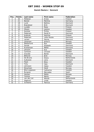#### **Danish Masters / Denmark**

| Pos.                     | <b>Points</b>           | Last name        | <b>First name</b> | Federation     |
|--------------------------|-------------------------|------------------|-------------------|----------------|
| 1                        | 30                      | Pöllänen         | Krista            | Finland        |
| $\overline{2}$           | 21                      | <b>Beckel</b>    | Martina           | Germany        |
| $\overline{3}$           | 18                      | Lund             | <b>Bettina</b>    | Denmark        |
| $\overline{\mathcal{A}}$ | 15                      | <b>Brøndsted</b> | <b>Britt</b>      | Denmark        |
| 5                        | 12                      | Lundén           | Reija             | Finland        |
| 6                        | 10                      | Olsson           | Jessica           | Sweden         |
| $\overline{7}$           | 6                       | Kantola          | Piritta           | Finland        |
| 8                        | 6                       | Pedersen         | Randi K.          | Denmark        |
| 9                        | 6                       | Kukkula          | Katriina          | Finland        |
| 10                       | 5                       | Pedersen         | Lotte Houbo       | Denmark        |
| 11                       | $\overline{5}$          | Larsen           | Hanne             | <b>Denmark</b> |
| 12                       | $\overline{5}$          | Johansen         | Anita E.          | Norway         |
| 13                       | $\overline{\mathbf{4}}$ | Wetterlund       | Āsa               | Sweden         |
| 14                       | $\overline{\mathbf{4}}$ | Donde            | Elsebeth          | Denmark        |
| 15                       | $\overline{\mathbf{4}}$ | Kristiansen      | Mette             | Denmark        |
| 16                       | $\overline{\mathbf{4}}$ | Jönsson          | Eva               | Sweden         |
| 17                       | $\overline{\mathbf{4}}$ | Carlsson         | Christel          | Sweden         |
| 18                       | $\overline{3}$          | Gravdal          | Bente             | Denmark        |
| 19                       | $\overline{3}$          | Østlund          | <b>Britt</b>      | Norway         |
| 20                       | $\overline{3}$          | De Bruine        | Diana             | Netherlands    |
| 21                       | $\overline{3}$          | Sulkanen         | Lena              | Denmark        |
| 22                       | $\overline{3}$          | Flack            | Nina              | Sweden         |
| 23                       | $\overline{2}$          | Tchu             | Iben              | Denmark        |
| 24                       | $\overline{2}$          | Johnsson         | Helen             | Sweden         |
| $\overline{25}$          | $\overline{2}$          | Edvartsen        | Heidi             | Norway         |
| 26                       | $\overline{2}$          | Blixt-Jeppsson   | Catharina         | Sweden         |
| 27                       | $\overline{2}$          | <b>Burgues</b>   | Mercedes          | Spain          |
| 28                       | 1                       | Hansen           | Mette             | Norway         |
| 29                       | 1                       | Canosa           | Marta             | Spain          |
| 30                       | $\mathbf{1}$            | van der List     | Wendy             | Netherlands    |
| 31                       | 1                       | Haglund          | Linda             | Sweden         |
| 32                       | 1                       | Schwartz         | Patricia          | Germany        |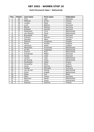#### **Dutch Brunswick Open / Netherlands**

| Pos.                     | <b>Points</b>           | Last name        | First name     | Federation  |
|--------------------------|-------------------------|------------------|----------------|-------------|
| 1                        | 30                      | Tchu             | Iben           | Denmark     |
| $\overline{2}$           | 21                      | Pöllänen         | Krista         | Finland     |
| $\overline{3}$           | 18                      | Lunden           | Reija          | Finland     |
| $\overline{\mathcal{A}}$ | 15                      | Lund             | <b>Bettina</b> | Denmark     |
| $\overline{5}$           | 12                      | <b>Beckel</b>    | Martina        | Germany     |
| 6                        | 10                      | Kjeldsen         | Kamilla        | Denmark     |
| $\overline{7}$           | 6                       | Koopmans         | Chris          | Netherlands |
| 8                        | 6                       | van Hemert       | Paula          | Netherlands |
| 9                        | 6                       | <b>Brondsted</b> | <b>Britt</b>   | Denmark     |
| 10                       | 5                       | Schwarz          | Patricia       | Germany     |
| 11                       | $\overline{5}$          | Glendert         | Malin          | Sweden      |
| 12                       | $\overline{5}$          | Eliasson         | Josephine      | Sweden      |
| 13                       | $\overline{\mathbf{4}}$ | Penny            | Kirsten        | England     |
| 14                       | $\overline{4}$          | Johnsson         | Helen          | Sweden      |
| 15                       | $\overline{4}$          | Altewisher       | Annemiek       | Netherlands |
| $\overline{16}$          | $\overline{\mathbf{4}}$ | de Win           | Angelique      | Netherlands |
| 17                       | $\overline{4}$          | Greiner          | Ross           | Netherlands |
| 18                       | $\overline{3}$          | Kristiansen      | Mette          | Denmark     |
| 19                       | $\overline{3}$          | Houbo            | Lotte          | Denmark     |
| 20                       | $\overline{3}$          | Lensen           | Inge           | Netherlands |
| $\overline{21}$          | $\overline{3}$          | de Koning        | Fiona          | Netherlands |
| 22                       | $\overline{3}$          | Poulitsidou      | Helen          | Greece      |
| 23                       | $\overline{2}$          | Szvasztics       | Doris          | Austria     |
| 24                       | $\overline{2}$          | Verzu            | Patricia       | Belgium     |
| $\overline{25}$          | $\overline{2}$          | Goebel           | Michaela       | Germany     |
| 26                       | $\overline{2}$          | van de List      | Wendy          | Netherlands |
| 27                       | $\overline{2}$          | Smits            | Angela         | Netherlands |
| 28                       | 1                       | Abela            | Sue            | Malta       |
| 29                       | 1                       | Petty            | Tanya          | Germany     |
| 30                       | $\mathbf{1}$            | Beerman          | Nanet          | Netherlands |
| 31                       | 1                       | Uhlich           | Sonja          | Switzerland |
| 32                       | 1                       | Kukkula          | Katriina       | Finland     |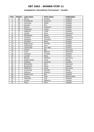### **Kungsbacka International Tournament / Sweden**

| Pos.                     | <b>Points</b>           | Last name     | <b>First name</b> | Federation  |
|--------------------------|-------------------------|---------------|-------------------|-------------|
| 1                        | 30                      | Penny         | Kirsten           | England     |
| $\overline{a}$           | 21                      | Erlandsson    | Susanne           | Sweden      |
| $\overline{3}$           | 18                      | Johnsson      | Helen             | Sweden      |
| $\overline{\mathcal{L}}$ | 15                      | Jönsson       | Eva               | Sweden      |
| $\overline{5}$           | 12                      | Olsson        | Susanne           | Sweden      |
| 6                        | 10                      | Pulliainen    | Leena             | Finland     |
| 7                        | 6                       | Haglund       | Linda             | Sweden      |
| 8                        | 6                       | Jensen        | Anja              | Denmark     |
| 9                        | 6                       | Alfredsson    | Diana             | Sweden      |
| 10                       | $\overline{5}$          | Schwarz       | Patricia          | Germany     |
| 11                       | $\overline{5}$          | Dahlgren      | Christina         | Sweden      |
| 12                       | $\overline{5}$          | Glendert      | Malin             | Sweden      |
| 13                       | $\overline{\mathbf{4}}$ | Magnusson     | Pernilla          | Sweden      |
| 14                       | $\overline{4}$          | Andersson     | Anki              | Sweden      |
| $\overline{15}$          | $\overline{4}$          | Liljankoski   | Ann-Mari          | Finland     |
| $\overline{16}$          | $\overline{4}$          | Jensen        | Mai               | Denmark     |
| 17                       | $\overline{4}$          | Lund          | <b>Bettina</b>    | Denmark     |
| 18                       | $\overline{3}$          | Carlsson      | Christel          | Sweden      |
| 19                       | $\overline{3}$          | Lunden        | Reija             | Finland     |
| 20                       | $\overline{3}$          | <b>Beckel</b> | Martina           | Germany     |
| $\overline{21}$          | $\overline{3}$          | Kragh Eckell  | Irene             | Norge       |
| 22                       | $\overline{3}$          | Östberg       | Katarina          | Sweden      |
| 23                       | $\overline{2}$          | Bröndsted     | <b>Britt</b>      | Denmark     |
| $\overline{24}$          | $\overline{2}$          | Bengtsson     | Marie             | Sweden      |
| $\overline{25}$          | $\overline{2}$          | Pedersen      | Lotte             | Denmark     |
| 26                       | $\overline{2}$          | Gunnerud      | Pernille          | Norge       |
| 27                       | $\overline{2}$          | Sofkova       | Viktoria          | Sweden      |
| 28                       | $\mathbf{1}$            | Wetterlund    | Åsa               | Sweden      |
| 29                       | 1                       | Greiner       | <b>Ross</b>       | Netherlands |
| 30                       | 1                       | Helander      | Lisa              | Sweden      |
| 31                       | 1                       | Larsen        | Rebecca           | Sweden      |
| 32                       | 1                       | Flack         | Nina              | Sweden      |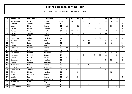| $\mathsf{P}$   | Last name    | <b>First name</b> | <b>Federation</b> | T.  | 01             | 02 | 03             | 04           | 05             | 06 | 07             | 08             | 09             | 10             | 11             |
|----------------|--------------|-------------------|-------------------|-----|----------------|----|----------------|--------------|----------------|----|----------------|----------------|----------------|----------------|----------------|
| $\mathbf{1}$   | Verbruggen   | Gery              | Belgium           | 111 |                | 30 |                | 30           | $\overline{4}$ |    |                | 21             | 5              | 21             |                |
| $\overline{2}$ | Öhman        | Anders            | Sweden            | 79  |                |    | $\mathbf{1}$   |              | 21             | 21 | 12             | $\overline{2}$ | 21             |                | $\mathbf{1}$   |
| 3              | Luoto        | Mika              | Finland           | 68  | 12             |    | 21             |              | $\overline{2}$ |    |                |                | 30             |                | 3              |
| 4              | Larsen       | Martin            | Sweden            | 61  |                |    |                | 6            | 5              | 30 | 18             |                |                |                | $\overline{2}$ |
| 5              | Carlsson     | Göran             | Sweden            | 57  | 3              | 21 | 3              |              |                |    |                | 18             |                | 6              | 6              |
| 6              | Gross        | Thomas            | Austria           | 53  | 6              | 5  |                | $\mathbf{1}$ |                |    | 6              | 30             |                | 5              |                |
| 7              | Konsteri     | Sami              | Finland           | 52  |                |    | 18             |              | 30             |    |                | $\mathbf{1}$   | $\mathbf{1}$   |                | $\overline{2}$ |
| 8              | Andersson    | Robert            | Sweden            | 51  |                |    |                |              |                | 18 | 30             |                |                | $\overline{2}$ | $\mathbf{1}$   |
| 9              | Torgersen    | Tore              | Norway            | 50  |                |    |                | 5            | 15             |    | $\overline{2}$ | 3              | 4              |                | 21             |
| 10             | Åhlen        | Peter             | Sweden            | 48  |                |    |                |              | 18             |    | 4              | 6              | $\overline{2}$ |                | 18             |
| 11             | Hansen       | Petter            | Norway            | 45  |                |    | 30             |              | 5              |    |                |                |                |                | 10             |
| 12             | Lehtonen     | Kimmo             | Finland           | 39  | 30             |    | 5              |              |                |    |                |                |                |                | $\overline{4}$ |
| 13             | Tiainen      | Olli              | Finland           | 37  | 18             |    | 1              |              | 3              |    |                |                | 15             |                |                |
| 14             | Bai Andersen | Michael           | Denmark           | 36  |                |    |                |              | $\mathbf{1}$   |    | 21             | 4              | $\overline{4}$ | 6              |                |
| 15             | Karetsos     | <b>Dimitrios</b>  | Greece            | 34  |                |    |                | 5            |                | 6  | 10             | 10             |                | $\mathfrak{Z}$ |                |
| 16             | Lintilä      | Lasse             | Finland           | 33  | 3              |    |                |              |                |    |                |                |                |                | 30             |
| 17             | Damberg      | Johan             | Sweden            | 30  | $\overline{4}$ |    | 6              |              |                |    |                | 6              | 12             |                | $\overline{2}$ |
| 18             | Humm         | Andreas           | Germany           | 30  |                |    |                |              |                |    |                |                |                | 30             |                |
| 19             | Mannonen     | Petri             | Finland           | 28  | $\overline{2}$ |    | 10             |              | 10             |    |                |                | $\mathbf{1}$   |                | 5              |
| 20             | Sassen       | Michael           | Netherlands       | 26  |                |    |                | 15           |                |    | 6              |                |                | 5              |                |
| 21             | Raatikainen  | Teemu             | Finland           | 25  | 21             |    |                |              |                |    |                | 4              |                |                |                |
| 22             | Blixt        | Martin            | Sweden            | 21  |                |    | 3              |              |                |    |                |                | 18             |                |                |
| 23             | Maragos      | Leonidas          | Greece            | 21  |                |    |                | 21           |                |    |                |                |                |                |                |
| 24             | Uotila       | Pasi              | Finland           | 21  | 15             |    | $\overline{2}$ |              |                |    |                |                |                |                | $\overline{4}$ |
| 25             | Krämer       | Michael           | Netherlands       | 20  |                | 15 |                |              |                |    |                |                | 5              |                |                |
| 26             | Mantovani    | Luca              | Italy             | 19  |                |    |                |              |                |    | $\overline{4}$ | 15             |                |                |                |
| 27             | Moor         | Paul              | England           | 19  |                |    |                |              | 4              | 3  |                |                |                |                | 12             |
| 28             | Van Damme    | Chris             | Belgium           | 19  |                |    |                |              |                | 15 |                |                |                | $\overline{4}$ |                |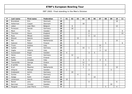| P  | Last name        | <b>First name</b> | Federation  | T.   | 01             | 02 | 03             | 04           | 05             | 06 | 07             | 08 | 09 | 10 | 11 |
|----|------------------|-------------------|-------------|------|----------------|----|----------------|--------------|----------------|----|----------------|----|----|----|----|
| 29 | <b>Brondsted</b> | Kim               | Denmark     | 18   |                |    |                |              |                |    |                |    |    | 18 |    |
| 30 | Holterman        | Casper            | Denmark     | 18   |                |    |                | 18           |                |    |                |    |    |    |    |
| 31 | Lebon            | Jean Marc         | Belgium     | 18   |                | 6  |                |              |                |    |                |    |    | 12 |    |
| 32 | Punessen         | Harold            | Germany     | 18   |                | 18 |                |              |                |    |                |    |    |    |    |
| 33 | Mack             | Tim               | Sweden      | 18   |                |    |                |              | 12             |    |                |    |    |    | 6  |
| 34 | Thornton         | <b>Steve</b>      | England     | 17   |                |    |                |              | $\overline{2}$ |    |                |    |    |    | 15 |
| 35 | Roos             | Mikael            | Sweden      | 16   |                |    |                |              | $\overline{4}$ | 12 |                |    |    |    |    |
| 36 | Eklund           | Dennis            | Sweden      | 15   |                |    | 15             |              |                |    |                |    |    |    |    |
| 37 | Mol              | Roel              | Netherlands | 15   |                |    |                |              |                |    |                |    |    | 15 |    |
| 38 | Salonen          | Petteri           | Finland     | 15   |                |    | 4              |              |                |    |                | 5  |    |    | 6  |
| 39 | Triulci          | Andrea            | Italy       | 15   |                |    |                |              |                |    | 15             |    |    |    |    |
| 40 | Sydow            | Ralf              | Germany     | 14   |                |    |                | 10           | $\mathbf{1}$   |    | 3              |    |    |    |    |
| 41 | Vaglia           | Vittorio          | Italy       | 14   |                |    |                |              |                |    | $\overline{2}$ | 12 |    |    |    |
| 42 | Gustavsson       | Roger             | Sweden      | 12   | $\overline{4}$ |    |                |              | 3              | 5  |                |    |    |    |    |
| 43 | Heine            | Frank             | Germany     | 12   |                | 12 |                |              |                |    |                |    |    |    |    |
| 44 | Kallio           | Juuso             | Finland     | 12   |                |    | 12             |              |                |    |                |    |    |    |    |
| 45 | Spada            | Amadeo            | Italy       | 12   |                |    |                | 3            | $\mathbf{1}$   |    | $\mathbf{3}$   | 5  |    |    |    |
| 46 | Tsavtaridis      | George            | Greece      | 12   |                |    |                | 12           |                |    |                |    |    |    |    |
| 47 | D achille        | <b>Nico</b>       | Italy       | $11$ |                |    |                | 5            | 4              |    |                | 2  |    |    |    |
| 48 | Krull            | Maarten           | Netherlands | 11   |                |    |                | $\mathbf{1}$ |                |    |                |    |    | 10 |    |
| 49 | Ahlqvist         | Michael           | Sweden      | 10   | 2              |    |                |              | 3              |    |                |    | 5  |    |    |
| 50 | Grabowski        | Achim             | Germany     | 10   |                | 10 |                |              |                |    |                |    |    |    |    |
| 51 | Gunter           | Kai               | Germany     | 10   |                |    | $\overline{4}$ |              | 6              |    |                |    |    |    |    |
| 52 | Hodge            | Keith             | England     | 10   |                |    |                |              |                | 10 |                |    |    |    |    |
| 53 | Johansson        | Henrik            | Sweden      | 10   | 10             |    |                |              |                |    |                |    |    |    |    |
| 54 | Nickel           | Jens              | Germany     | 10   |                |    |                |              | $\overline{4}$ |    |                |    |    | 6  |    |
| 55 | Norrman          | Christer          | Sweden      | 10   |                |    |                |              |                |    |                |    | 10 |    |    |
| 56 | Paugnat          | Jean Pierre       | France      | 9    |                |    |                |              |                |    |                | 5  |    | 4  |    |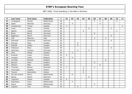| $\mathsf{P}$ | Last name      | <b>First name</b> | Federation  | T. | 01           | 02             | 03             | 04 | 05             | 06             | 07             | 08             | 09             | 10             | 11             |
|--------------|----------------|-------------------|-------------|----|--------------|----------------|----------------|----|----------------|----------------|----------------|----------------|----------------|----------------|----------------|
| 57           | vd Bogaard     | Ronald            | Netherlands | 9  |              |                |                |    |                | 5              | $\overline{2}$ |                |                | $\overline{2}$ |                |
| 58           | Zabel          | Manfred           | Germany     | 9  |              | $\overline{4}$ |                |    |                |                | 5              |                |                |                |                |
| 59           | Leandersson    | Tomas             | Sweden      | 8  | 4            |                |                |    |                |                |                |                |                |                | $\overline{4}$ |
| 60           | Luoto          | Sami              | Finland     | 8  |              |                |                |    | 6              |                |                |                | $\overline{2}$ |                |                |
| 61           | Agerbo         | Jesper            | Denmark     | 6  |              |                |                | 4  |                |                |                |                |                | $\overline{2}$ |                |
| 62           | <b>Bauer</b>   | Bernd             | Germany     | 6  |              |                |                |    |                | 6              |                |                |                |                |                |
| 63           | Bøgehave       | Martin            | Denmark     | 6  |              |                |                |    |                |                |                |                | 6              |                |                |
| 64           | Celli          | Maurizio          | Italy       | 6  |              |                |                |    |                | $\mathfrak{Z}$ |                | $\mathfrak{Z}$ |                |                |                |
| 65           | Damstoft       | Flemming          | Denmark     | 6  |              |                |                |    |                |                |                |                | 6              |                |                |
| 66           | Eriksson       | Peter             | Sweden      | 6  |              |                | 6              |    |                |                |                |                |                |                |                |
| 67           | Falkhäll       | Stefan            | Sweden      | 6  |              |                | 6              |    |                |                |                |                |                |                |                |
| 68           | Folkesson      | <b>Brian</b>      | Sweden      | 6  |              |                |                |    |                |                |                |                | 6              |                |                |
| 69           | Hartmann       | Carsten           | Germany     | 6  |              |                | $\overline{4}$ |    | $\overline{2}$ |                |                |                |                |                |                |
| 70           | Jäine          | Mikael            | Sweden      | 6  |              | 5              |                |    |                |                |                |                |                |                | $\mathbf{1}$   |
| 71           | Kuossari       | Jouko             | Finland     | 6  | 6            |                |                |    |                |                |                |                |                |                |                |
| 72           | Leveque        | Cedric            | Belgium     | 6  |              | 6              |                |    |                |                |                |                |                |                |                |
| 73           | Louridas       | Michael           | England     | 6  |              |                |                |    |                |                |                | 6              |                |                |                |
| 74           | Nymark         | Peter             | Sweden      | 6  |              |                |                |    |                | 6              |                |                |                |                |                |
| 75           | Ohlsson        | Mats              | Sweden      | 6  |              |                |                |    |                |                | 6              |                |                |                |                |
| 76           | Thomsen        | <b>Bjarne</b>     | Denmark     | 6  | $\mathbf{1}$ |                |                | 3  |                | $\overline{2}$ |                |                |                |                |                |
| 77           | Tsouroupis     | Angelos           | Greece      | 6  |              |                |                | 6  |                |                |                |                |                |                |                |
| 78           | <b>Tzounis</b> | Alexandros        | Greece      | 6  |              |                |                | 6  |                |                |                |                |                |                |                |
| 79           | Van der Griend | Marco             | Netherlands | 6  |              | 6              |                |    |                |                |                |                |                |                |                |
| 80           | Wozny          | Martin            | Denmark     | 6  |              |                |                |    | 6              |                |                |                |                |                |                |
| 81           | Yngström       | Stefan            | Sweden      | 6  | 6            |                |                |    |                |                |                |                |                |                |                |
| 82           | Bujenberg      | Arjan             | Netherlands | 5  |              | 5              |                |    |                |                |                |                |                |                |                |
| 83           | Geeris         | Robin             | Netherlands | 5  |              |                |                |    |                | 5              |                |                |                |                |                |
| 84           | Ingholm        | Tom               | Norway      | 5  |              |                | 5              |    |                |                |                |                |                |                |                |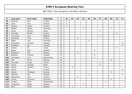| P   | Last name  | <b>First name</b> | <b>Federation</b> | $\mathbf{T}$            | 01 | 02             | 03             | 04 | 05           | 06             | 07             | 08             | 09             | 10 | 11             |
|-----|------------|-------------------|-------------------|-------------------------|----|----------------|----------------|----|--------------|----------------|----------------|----------------|----------------|----|----------------|
| 85  | Jehkinen   | Kari              | Finland           | 5                       | 5  |                |                |    |              |                |                |                |                |    |                |
| 86  | Laine      | Toni              | Finland           | 5                       | 5  |                |                |    |              |                |                |                |                |    |                |
| 87  | Laitinen   | Heikki            | Finland           | 5                       | 5  |                |                |    |              |                |                |                |                |    |                |
| 88  | Nielsen    | Jesper            | <b>Denmark</b>    | 5                       |    |                |                | 3  |              |                |                |                | $\overline{2}$ |    |                |
| 89  | Ovide      | Marcial           | Spain             | 5                       |    |                |                |    |              |                | 5              |                |                |    |                |
| 90  | Schroder   | Nikolai           | Austria           | 5                       |    |                |                |    |              |                |                |                |                | 5  |                |
| 91  | Van Eyken  | <b>Ives</b>       | Belgium           | 5                       |    |                |                |    |              |                | 5              |                |                |    |                |
| 92  | Väänänen   | Tomi              | Finland           | 5                       |    |                | 5              |    |              |                |                |                |                |    |                |
| 93  | Öager      | Lars              | Denmark           | 5                       |    |                |                |    | 5            |                |                |                |                |    |                |
| 94  | Danielsson | Christer          | Sweden            | 5                       |    |                |                |    |              |                |                |                |                |    | 5              |
| 95  | Nordberg   | Jan               | Sweden            | 5                       |    |                |                |    |              |                |                |                |                |    | 5              |
| 96  | Aviram     | <b>Or</b>         | <b>Israel</b>     | 4                       |    |                |                |    |              |                |                |                |                | 4  |                |
| 97  | Bayley     | Pete              | England           | 4                       |    |                |                |    |              | $\overline{4}$ |                |                |                |    |                |
| 98  | Borgisrud  | Erik              | Norway            | 4                       |    |                | 4              |    |              |                |                |                |                |    |                |
| 99  | Boström    | Christer          | Sweden            | $\boldsymbol{4}$        |    |                |                |    |              | $\overline{4}$ |                |                |                |    |                |
| 100 | de Hoogen  | John              | Netherlands       | 4                       |    |                |                |    |              | $\overline{4}$ |                |                |                |    |                |
| 101 | Eide       | Per Kr.           | Norway            | 4                       |    |                |                |    |              |                |                |                | $\overline{4}$ |    |                |
| 102 | Frouvelle  | Serge             | France            | 4                       |    |                |                |    |              |                | $\overline{4}$ |                |                |    |                |
| 103 | Garcia     | Gonzalo           | Spain             | 4                       |    |                |                |    |              |                | $\overline{4}$ |                |                |    |                |
| 104 | Geneix     | Frederic          | France            | 4                       |    | $\overline{4}$ |                |    |              |                |                |                |                |    |                |
| 105 | Halme      | Ari               | Finland           | 4                       |    |                |                |    |              |                |                |                |                |    | $\overline{4}$ |
| 106 | Hansen     | Thorbjørn         | Norway            | 4                       |    |                |                |    |              |                |                |                | 4              |    |                |
| 107 | Hoffman    | Bill              | Sweden            | 4                       |    |                |                |    | $\mathbf{1}$ |                |                |                |                |    | 3              |
| 108 | Holmström  | Ville             | Finland           | 4                       |    |                | $\overline{4}$ |    |              |                |                |                |                |    |                |
| 109 | Larsen     | Christian         | Denmark           | 4                       |    |                |                |    |              |                |                |                | $\overline{4}$ |    |                |
| 110 | Lenders    | Peter             | Netherlands       | $\overline{\mathbf{4}}$ |    |                |                |    |              |                |                | $\overline{4}$ |                |    |                |
| 111 | Linderholm | Niklas            | Sweden            | 4                       |    |                |                | 4  |              |                |                |                |                |    |                |
| 112 | Nero       | Pierre            | Belgium           | 4                       |    | 4              |                |    |              |                |                |                |                |    |                |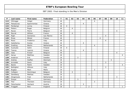| $\boldsymbol{\mathsf{P}}$ | Last name     | First name  | Federation  | $\mathbf{T}$            | 01 | 02             | 03 | 04             | 05             | 06             | 07             | 08             | 09 | 10 | 11             |
|---------------------------|---------------|-------------|-------------|-------------------------|----|----------------|----|----------------|----------------|----------------|----------------|----------------|----|----|----------------|
| 113                       | Ohlrogge      | Holger      | Germany     | 4                       |    |                |    |                |                | $\overline{4}$ |                |                |    |    |                |
| 114                       | Patsaouras    | Epaminontas | Greece      | 4                       |    |                |    | 4              |                |                |                |                |    |    |                |
| 115                       | Perälampi     | Jorma       | Finland     | $\overline{\mathbf{4}}$ | 4  |                |    |                |                |                |                |                |    |    |                |
| 116                       | Pieters       | Roger       | Belgium     | 4                       |    | $\overline{4}$ |    |                |                |                |                |                |    |    |                |
| 117                       | Ravez         | Pierre      | Belgium     | 4                       |    |                |    |                |                |                |                |                |    | 4  |                |
| 118                       | Ravrat        | William     | France      | 4                       |    | $\overline{4}$ |    |                |                |                |                |                |    |    |                |
| 119                       | Righi         | Domenico    | San Marino  | 4                       |    |                |    |                |                |                |                | $\overline{4}$ |    |    |                |
| 120                       | <b>Rives</b>  | Mickel      | France      | $\boldsymbol{4}$        |    |                |    |                |                |                | $\overline{4}$ |                |    |    |                |
| 121                       | Rossi         | Frederico   | Italy       | 4                       |    |                |    |                |                |                |                | 4              |    |    |                |
| 122                       | Sakellariou   | Kostas      | Greece      | 4                       |    |                |    | $\overline{4}$ |                |                |                |                |    |    |                |
| 123                       | Snelting      | Martin      | Netherlands | 4                       |    |                |    |                |                | $\overline{4}$ |                |                |    |    |                |
| 124                       | Susiluoto     | Selim       | Finland     | 4                       | 4  |                |    |                |                |                |                |                |    |    |                |
| 125                       | <b>Tzenos</b> | Ioannis     | Greece      | 4                       |    |                |    | 4              |                |                |                |                |    |    |                |
| 126                       | Vaes          | Kristof     | Belgium     | 4                       |    |                |    |                |                |                |                |                |    | 4  |                |
| 127                       | Aarup         | Matthias    | Sweden      | 4                       |    |                |    |                |                |                |                |                |    |    | $\overline{4}$ |
| 128                       | Andersin      | Erik        | Sweden      | 3                       |    |                | 3  |                |                |                |                |                |    |    |                |
| 129                       | Andrea        | Steffen     | Denmark     | 3                       |    |                |    |                |                |                |                |                | 3  |    |                |
| 130                       | Armiellei     | Dario       | Italy       | $\overline{\mathbf{3}}$ |    |                |    |                |                |                |                | 3              |    |    |                |
| 131                       | <b>Backe</b>  | Patrik      | Sweden      | 3                       |    |                |    |                |                |                |                |                |    |    | 3              |
| 132                       | Bottiglieri   | Alfonso     | Italy       | 3                       |    |                |    |                |                |                |                | 3              |    |    |                |
| 133                       | Bugeja        | Mark        | Malta       | 3                       |    |                |    |                |                | 3              |                |                |    |    |                |
| 134                       | Colligion     | Dominique   | Belgium     | 3                       |    | 3              |    |                |                |                |                |                |    |    |                |
| 135                       | Daneberg      | Mathias     | Sweden      | 3                       |    |                |    |                | 3              |                |                |                |    |    |                |
| 136                       | Dingenouts    | Fred        | Netherlands | 3                       |    |                |    |                |                |                |                |                |    | 3  |                |
| 137                       | Dreyer        | <b>Dirk</b> | Germany     | $\overline{\mathbf{3}}$ |    |                | 3  |                |                |                |                |                |    |    |                |
| 138                       | Filor         | Thorsten    | Germany     | 3                       |    |                |    |                |                | 3              |                |                |    |    |                |
| 139                       | Fleischacker  | Gerhard     | Austria     | 3                       |    |                |    | 3              |                |                |                |                |    |    |                |
| 140                       | Froggatt      | <b>Nick</b> | England     | 3                       |    |                |    |                | $\overline{2}$ |                |                |                |    |    | $\mathbf{1}$   |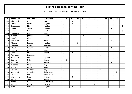| P   | Last name       | <b>First name</b> | Federation  | $\mathsf{T}$            | 01 | 02             | 03 | 04           | 05 | 06             | 07             | 08             | 09           | 10             | 11 |
|-----|-----------------|-------------------|-------------|-------------------------|----|----------------|----|--------------|----|----------------|----------------|----------------|--------------|----------------|----|
| 141 | Giacomelli      | G                 | Italy       | 3                       |    | 3              |    |              |    |                |                |                |              |                |    |
| 142 | Gonze           | Pierre            | Belgium     | 3                       |    | 3              |    |              |    |                |                |                |              |                |    |
| 143 | Gustafsson      | Pär               | Sweden      | 3                       |    |                |    |              |    |                |                |                |              |                | 3  |
| 144 | Lindén          | Thoms             | Sweden      | 3                       |    |                |    |              |    |                |                |                | 3            |                |    |
| 145 | Ljung           | Peter             | Sweden      | 3                       |    |                |    |              |    |                |                |                |              |                | 3  |
| 146 | Manninen        | Harri             | Finland     | 3                       | 3  |                |    |              |    |                |                |                |              |                |    |
| 147 | <b>Mertiris</b> | Joseph            | Greece      | 3                       |    |                |    | $\mathbf{1}$ |    |                |                | $\overline{2}$ |              |                |    |
| 148 | Montfort        | Lluis             | Spain       | 3                       |    |                |    |              |    |                | $\mathfrak{Z}$ |                |              |                |    |
| 149 | Mortensen       | Jimmy             | Denmark     | 3                       |    |                |    |              |    |                |                |                | 3            |                |    |
| 150 | Nilsson         | Joakim            | Sweden      | 3                       |    |                | 3  |              |    |                |                |                |              |                |    |
| 151 | Ohlrogge        | Harald            | Germany     | 3                       |    |                |    |              |    | 3              |                |                |              |                |    |
| 152 | Olsson          | Dennis            | Sweden      | 3                       |    |                |    |              |    |                |                |                | 3            |                |    |
| 153 | Palmas          | Jari              | Finland     | 3                       | 3  |                |    |              |    |                |                |                |              |                |    |
| 154 | Perro           | Eric              | France      | 3                       |    | 3              |    |              |    |                |                |                |              |                |    |
| 155 | Rodriguez       | Francisco         | Spain       | 3                       |    |                |    |              |    |                | $\mathfrak{Z}$ |                |              |                |    |
| 156 | Scammell        | Phil              | England     | 3                       |    |                |    |              |    |                |                |                |              | 3              |    |
| 157 | Saarinen        | Reijo             | Finland     | 3                       | 3  |                |    |              |    |                |                |                |              |                |    |
| 158 | Thomsen         | John              | Denmark     | 3                       |    |                |    |              |    |                |                |                | $\mathbf{3}$ |                |    |
| 159 | Timpano         | Mario             | Italy       | 3                       |    |                |    |              |    |                |                | 3              |              |                |    |
| 160 | Tripakis        | Michael           | Greece      | 3                       |    |                |    | 3            |    |                |                |                |              |                |    |
| 161 | Valente         | Giuliano          | Italy       | $\overline{\mathbf{3}}$ |    |                |    |              |    |                | 3              |                |              |                |    |
| 162 | van Baest       | Geert-Jan         | Netherlands | 3                       |    |                |    |              |    |                |                |                |              | $\mathfrak{Z}$ |    |
| 163 | van Zeist       | Ron               | Netherlands | 3                       |    |                |    |              |    |                |                |                |              | 3              |    |
| 164 | Vkerchoven      | Bart              | Belgium     | 3                       |    | 3              |    |              |    |                |                |                |              |                |    |
| 165 | Aahmann         | Sören             | Denmark     | 3                       |    |                |    |              | 3  |                |                |                |              |                |    |
| 166 | Ancarani        | Dario             | Switzerland | $\overline{2}$          |    |                |    |              |    | $\overline{2}$ |                |                |              |                |    |
| 167 | Anderson        | Jonas             | Sweden      | $\overline{\mathbf{2}}$ |    |                |    |              |    | $\overline{2}$ |                |                |              |                |    |
| 168 | Athar           | Korman            | Belgium     | $\overline{\mathbf{2}}$ |    | $\overline{2}$ |    |              |    |                |                |                |              |                |    |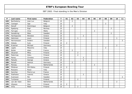| $\boldsymbol{\mathsf{P}}$ | Last name    | First name | Federation  | $\mathsf{T}$            | 01             | 02             | 03             | 04             | 05 | 06             | 07             | 08             | 09             | 10             | 11             |
|---------------------------|--------------|------------|-------------|-------------------------|----------------|----------------|----------------|----------------|----|----------------|----------------|----------------|----------------|----------------|----------------|
| 169                       | Barthelemy   | Jean Luc   | Belgium     | $\overline{\mathbf{2}}$ |                | $\overline{2}$ |                |                |    |                |                |                |                |                |                |
| 170                       | Castagni     | Ugo        | Italy       | $\overline{2}$          |                |                |                |                |    |                |                | 2              |                |                |                |
| 171                       | Denolf       | Dominique  | Belgium     | $\overline{\mathbf{2}}$ |                | $\overline{2}$ |                |                |    |                |                |                |                |                |                |
| 172                       | Egebjerg     | Eigil      | Norway      | $\overline{2}$          |                |                |                |                |    |                |                |                | $\overline{2}$ |                |                |
| 173                       | Farrugia     | Clive      | Malta       | $\overline{\mathbf{2}}$ |                |                |                |                |    | $\overline{2}$ |                |                |                |                |                |
| 174                       | Ganebring    | Mats       | Sweden      | $\overline{\mathbf{2}}$ |                |                |                |                |    |                |                |                | $\overline{2}$ |                |                |
| 175                       | Haritopoulos | Nikolaos   | Greece      | $\overline{2}$          |                |                |                | $\overline{2}$ |    |                |                |                |                |                |                |
| 176                       | Helminen     | Jouni      | Finland     | $\overline{\mathbf{2}}$ |                |                | $\mathbf{1}$   |                |    |                |                |                |                | $\mathbf{1}$   |                |
| 177                       | Hermansson   | Anders     | Sweden      | $\overline{2}$          |                |                |                |                |    |                |                |                |                |                | 2              |
| 178                       | Hietala      | Sulo       | Finland     | $\overline{\mathbf{2}}$ | $\overline{2}$ |                |                |                |    |                |                |                |                |                |                |
| 179                       | Kraemer      | Michael    | Germany     | $\overline{2}$          |                |                |                |                |    |                |                |                |                | $\overline{2}$ |                |
| 180                       | Ligato       | Massimo    | Italy       | $\overline{2}$          |                |                |                |                |    |                |                | $\overline{2}$ |                |                |                |
| 181                       | Muller       | Alain      | France      | $\overline{\mathbf{2}}$ |                | $\overline{2}$ |                |                |    |                |                |                |                |                |                |
| 182                       | Oksanen      | Mika       | Finland     | $\overline{2}$          |                |                | $\overline{2}$ |                |    |                |                |                |                |                |                |
| 183                       | Palermaa     | Osku       | Finland     | $\overline{\mathbf{2}}$ |                |                | $\overline{2}$ |                |    |                |                |                |                |                |                |
| 184                       | Panou        | Christos   | Greece      | $\overline{2}$          |                |                |                | $\overline{2}$ |    |                |                |                |                |                |                |
| 185                       | Patsalis     | George     | Greece      | $\overline{\mathbf{2}}$ |                |                |                | $\overline{2}$ |    |                |                |                |                |                |                |
| 186                       | Peinelt      | Helmut     | Germany     | $\overline{2}$          |                | $\overline{2}$ |                |                |    |                |                |                |                |                |                |
| 187                       | Piereau      | Ed         | Netherlands | $\overline{2}$          |                |                |                |                |    | $\overline{2}$ |                |                |                |                |                |
| 188                       | Pitkänen     | Olli-Pekka | Finland     | $\overline{\mathbf{2}}$ | $\overline{2}$ |                |                |                |    |                |                |                |                |                |                |
| 189                       | Rossano      | Rossi      | Italy       | $\overline{2}$          |                |                |                |                |    |                | $\overline{2}$ |                |                |                |                |
| 190                       | Sanchez      | Pierre Luc | France      | $\overline{\mathbf{2}}$ |                |                |                |                |    |                | $\overline{2}$ |                |                |                |                |
| 191                       | Stathatos    | Ioannis    | Greece      | $\overline{2}$          |                |                |                | $\overline{2}$ |    |                |                |                |                |                |                |
| 192                       | Svensson     | Pär        | Sweden      | $\overline{2}$          |                |                |                |                |    |                |                |                |                |                | $\overline{2}$ |
| 193                       | Turtianen    | Jussi      | Finland     | $\overline{2}$          |                |                | $\overline{2}$ |                |    |                |                |                |                |                |                |
| 194                       | van der Veen | Wim        | Netherlands | $\overline{2}$          |                |                |                |                |    |                |                |                |                | $\overline{2}$ |                |
| 195                       | Viljanen     | Ossi       | Finland     | $\overline{\mathbf{2}}$ | $\overline{2}$ |                |                |                |    |                |                |                |                |                |                |
| 196                       | Virta        | Matti      | Finland     | $\overline{\mathbf{2}}$ |                |                | $\overline{2}$ |                |    |                |                |                |                |                |                |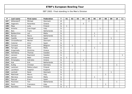| $\mathsf P$ | Last name      | <b>First name</b> | Federation  | T                       | 01           | 02           | 03           | 04             | 05             | 06           | 07           | 08           | 09           | 10 | $11$         |
|-------------|----------------|-------------------|-------------|-------------------------|--------------|--------------|--------------|----------------|----------------|--------------|--------------|--------------|--------------|----|--------------|
| 197         | Wittendorff    | Michael           | Denmark     | $\overline{\mathbf{2}}$ |              |              |              |                | $\overline{2}$ |              |              |              |              |    |              |
| 198         | Xagoraris      | Panaretos         | Greece      | $\overline{2}$          |              |              |              | $\overline{2}$ |                |              |              |              |              |    |              |
| 199         | Maja           | Juha              | Finland     | 1                       | $\mathbf{1}$ |              |              |                |                |              |              |              |              |    |              |
| 200         | Amenta         | Jose Angel        | Italy       | 1                       |              |              |              |                |                |              | $\mathbf{1}$ |              |              |    |              |
| 201         | <b>Bais</b>    | Frank             | Netherlands | 1                       |              |              |              |                |                |              |              |              |              | 1  |              |
| 202         | Baldacchino    | Leli              | Malta       | 1                       |              |              |              |                |                | $\mathbf{1}$ |              |              |              |    |              |
| 203         | Bijman         | Marco             | Netherlands | 1                       |              |              |              |                |                | 1            |              |              |              |    |              |
| 204         | Castillo       | Samuel            | Spain       | 1                       |              |              |              |                |                |              |              |              | $\mathbf{1}$ |    |              |
| 205         | Christoffersen | Morten            | Denmark     | 1                       |              |              |              |                | 1              |              |              |              |              |    |              |
| 206         | Colomer        | Artur             | Spain       | 1                       |              |              |              |                |                |              | $\mathbf{1}$ |              |              |    |              |
| 207         | Cornand        | Gert              | Belgium     | 1                       |              | $\mathbf{1}$ |              |                |                |              |              |              |              |    |              |
| 208         | Farrugia       | <b>Brian</b>      | Malta       | 1                       |              |              |              |                |                | $\mathbf{1}$ |              |              |              |    |              |
| 209         | Grigoriadis    | <b>Dimitrios</b>  | Greece      | $\mathbf{1}$            |              |              |              | $\mathbf{1}$   |                |              |              |              |              |    |              |
| 210         | Holmberg       | Thomas            | Sweden      | 1                       |              |              | $\mathbf{1}$ |                |                |              |              |              |              |    |              |
| 211         | Jansson        | Raymond           | Sweden      | 1                       |              |              |              |                |                |              |              |              |              |    | $\mathbf{1}$ |
| 212         | Jokinen        | Matti             | Finland     | 1                       | $\mathbf{1}$ |              |              |                |                |              |              |              |              |    |              |
| 213         | Kiriazoglou    | Sokrates          | Greece      | 1                       |              |              |              | 1              |                |              |              |              |              |    |              |
| 214         | Kok            | Erik              | Netherlands | 1                       |              | $\mathbf{1}$ |              |                |                |              |              |              |              |    |              |
| 215         | Kuttig         | Christan          | Germany     | 1                       |              |              |              |                |                |              |              |              |              | 1  |              |
| 216         | Lankinen       | Pekka Juhani      | Finland     | $\mathbf{1}$            |              |              |              |                |                |              | $\mathbf{1}$ |              |              |    |              |
| 217         | Lechtford      | Stephen           | England     | 1                       |              | $\mathbf{1}$ |              |                |                |              |              |              |              |    |              |
| 218         | Lomholt        | René              | Denmark     | 1                       |              |              |              |                |                |              |              |              | 1            |    |              |
| 219         | Malchiodi      | Mauro             | Italy       | 1                       |              |              |              |                |                |              |              | $\mathbf{1}$ |              |    |              |
| 220         | Mercieca       | Dennis            | Malta       | 1                       |              |              |              |                |                | $\mathbf{1}$ |              |              |              |    |              |
| 221         | Pascual        | Erwin             | Spain       | 1                       |              |              |              |                |                |              | $\mathbf{1}$ |              |              |    |              |
| 222         | Plummen        | Ton               | Netherlands | $\mathbf 1$             |              |              |              |                |                |              |              |              |              | 1  |              |
| 223         | Ponti          | Francesco         | Italy       | 1                       |              |              |              |                |                |              |              | $\mathbf{1}$ |              |    |              |
| 224         | Rannikko       | Niko              | Finland     | 1                       | 1            |              |              |                |                |              |              |              |              |    |              |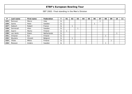| P   | Last name | First name | Federation  | 01 | 02 | 03 | 04 | 05 | 06 | 07 | 08 | 09 | 10 <sub>1</sub> | 11 |
|-----|-----------|------------|-------------|----|----|----|----|----|----|----|----|----|-----------------|----|
| 225 | Romussi   | Marco      | Italy       |    |    |    |    |    |    |    |    |    |                 |    |
| 226 | Sainio    | Peter      | Sweden      |    |    |    |    |    |    |    |    |    |                 |    |
| 227 | Sebisch   | Robert     | France      |    |    |    |    |    |    |    |    |    |                 |    |
| 228 | Sennevall | Allan      | Sweden      |    |    |    |    |    |    |    |    |    |                 |    |
| 229 | Saarni    | Marko      | Finland     |    |    |    |    |    |    |    |    |    |                 |    |
| 230 | van Aerle | Edwin      | Netherlands |    |    |    |    |    |    |    |    |    |                 |    |
| 231 | Virtanen  | Kai        | Finland     |    |    |    |    |    |    |    |    |    |                 |    |
| 232 | Wyulens   | Vincent    | Belgium     |    |    |    |    |    |    |    |    |    |                 |    |
| 233 | Ylitalo   | Mikko      | Finland     |    |    |    |    |    |    |    |    | ◢  |                 |    |
| 234 | Åkesson   | Anders     | Sweden      |    |    |    |    |    |    |    |    |    |                 |    |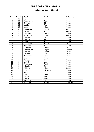### **Ballmaster Open / Finland**

| Pos.            | <b>Points</b>           | Last name   | <b>First name</b> | Federation |
|-----------------|-------------------------|-------------|-------------------|------------|
| 1               | 30                      | Lehtonen    | Kimmo             | Finland    |
| $\overline{a}$  | 21                      | Raatikainen | Teemu             | Finland    |
| $\overline{3}$  | 18                      | Tiainen     | Olli              | Finland    |
| 4               | 15                      | Uotila      | Pasi              | Finland    |
| 5               | 12                      | Luoto       | Mika              | Finland    |
| 6               | 10                      | Johansson   | Henrik            | Sweden     |
| $\overline{7}$  | 6                       | Gross       | Thomas            | Austria    |
| 8               | 6                       | Kuossari    | Jouko             | Finland    |
| 9               | 6                       | Yngström    | Stefan            | Sweden     |
| 10              | $\overline{5}$          | Laitinen    | Heikki            | Finland    |
| 11              | $\overline{5}$          | Jehkinen    | Kari              | Finland    |
| 12              | $\overline{5}$          | Laine       | Toni              | Finland    |
| 13              | $\overline{\mathbf{4}}$ | Leandersson | Tomas             | Sweden     |
| 14              | $\overline{4}$          | Susiluoto   | Selim             | Finland    |
| 15              | $\overline{\mathbf{4}}$ | Damberg     | Johan             | Sweden     |
| 16              | $\overline{4}$          | Gustavsson  | Roger             | Sweden     |
| 17              | $\overline{\mathbf{4}}$ | Perälampi   | Jorma             | Finland    |
| 18              | $\overline{3}$          | Palmas      | Jari              | Finland    |
| 19              | $\overline{3}$          | Manninen    | Harri             | Finland    |
| 20              | $\overline{3}$          | Saarinen    | Reijo             | Finland    |
| $\overline{21}$ | $\overline{3}$          | Carlsson    | Göran             | Sweden     |
| 22              | $\overline{3}$          | Lintilä     | Lasse             | Finland    |
| 23              | $\overline{2}$          | Mannonen    | Petri             | Finland    |
| 24              | $\overline{2}$          | Hietala     | Sulo              | Finland    |
| 25              | $\overline{2}$          | Ahlqvist    | Michael           | Sweden     |
| 26              | $\overline{2}$          | Pitkänen    | Olli-Pekka        | Finland    |
| 27              | $\overline{2}$          | Viljanen    | Ossi              | Finland    |
| 28              | 1                       | Maja        | Juha              | Finland    |
| 29              | 1                       | Jokinen     | Matti             | Finland    |
| 30              | 1                       | Saarni      | Marko             | Finland    |
| 31              | 1                       | Rannikko    | Niko              | Finland    |
| 32              | 1                       | Thomsen     | <b>Bjarne</b>     | Denmark    |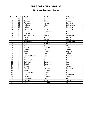#### **5th Brunswick Open / France**

| Pos.                     | <b>Points</b>           | Last name      | <b>First name</b> | Federation  |
|--------------------------|-------------------------|----------------|-------------------|-------------|
| 1                        | 30                      | Verbruggen     | Gery              | Belgium     |
| $\overline{2}$           | 21                      | Carlsson       | Göran             | Sweden      |
| $\overline{3}$           | 18                      | Punessen       | Harold            | Germany     |
| $\overline{\mathcal{L}}$ | 15                      | Krämer         | Michael           | Netherlands |
| 5                        | 12                      | Heine          | Frank             | Germany     |
| 6                        | 10                      | Grabowski      | Achim             | Germany     |
| $\overline{7}$           | 6                       | Lebon          | Jean Marc         | Belgium     |
| 8                        | 6                       | Leveque        | Cedric            | Belgium     |
| 9                        | 6                       | Van der Griend | Marco             | Netherlands |
| 10                       | 5                       | Gross          | Thomas            | Austria     |
| 11                       | 5                       | Jäine          | Mikael            | Sweden      |
| 12                       | $\overline{5}$          | Bujenberg      | Arjan             | Netherlands |
| 13                       | $\overline{\mathbf{4}}$ | Zabel          | Manfred           | Germany     |
| 14                       | $\overline{\mathbf{4}}$ | Pieters        | Roger             | Belgium     |
| 15                       | $\overline{\mathbf{4}}$ | Ravrat         | William           | France      |
| $\overline{16}$          | $\overline{\mathbf{4}}$ | Geneix         | Frederic          | France      |
| 17                       | $\overline{\mathbf{4}}$ | Nero           | Pierre            | Belgium     |
| 18                       | $\overline{3}$          | Perro          | Eric              | France      |
| 19                       | $\overline{3}$          | Van Kerkhoven  | Bart              | Belgium     |
| 20                       | $\overline{3}$          | Gonze          | Pierre            | Belgium     |
| $\overline{21}$          | $\overline{3}$          | Giacomelli     | G                 | Italy       |
| 22                       | $\overline{3}$          | Colligion      | Dominique         | Belgium     |
| 23                       | $\overline{2}$          | Denolf         | Dominique         | Belgium     |
| 24                       | $\overline{2}$          | Muller         | Alain             | France      |
| $\overline{25}$          | $\overline{2}$          | Peinelt        | Helmut            | Germany     |
| 26                       | $\overline{2}$          | Athar          | Korman            | Belgium     |
| 27                       | $\overline{2}$          | Barthelemy     | Jean Luc          | Belgium     |
| 28                       | 1                       | Kok            | Erik              | Netherlands |
| 29                       | 1                       | Lechtford      | Stephen           | England     |
| 30                       | 1                       | Cornand        | Gert              | Belgium     |
| 31                       | 1                       | Sebisch        | Robert            | France      |
| 32                       | 1                       | Wyulens        | Vincent           | Belgium     |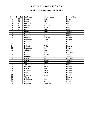#### **Sweden Les Lion Cup 2002 / Sweden**

| Pos.                     | <b>Points</b>           | Last name    | <b>First name</b> | Federation |
|--------------------------|-------------------------|--------------|-------------------|------------|
| 1                        | 30                      | Hansen       | Petter            | Norway     |
| $\overline{2}$           | 21                      | Luoto        | Mika              | Finland    |
| $\overline{3}$           | 18                      | Konsteri     | Sami              | Finland    |
| $\overline{\mathcal{A}}$ | 15                      | Eklund       | Dennis            | Sweden     |
| 5                        | 12                      | Kallio       | Juuso             | Finland    |
| 6                        | 10                      | Mannonen     | Petri             | Finland    |
| $\overline{7}$           | 6                       | Eriksson     | Peter             | Sweden     |
| 8                        | 6                       | Falkhäll     | Stefan            | Sweden     |
| 9                        | 6                       | Damberg      | Johan             | Sweden     |
| 10                       | 5                       | Lehtonen     | Kimmo             | Finland    |
| 11                       | $\overline{5}$          | Väänänen     | Tomi              | Finland    |
| 12                       | $\overline{5}$          | Ingholm      | Tom               | Norway     |
| 13                       | $\overline{\mathbf{4}}$ | Hartmann     | Carsten           | Germany    |
| 14                       | $\overline{4}$          | Holmström    | Ville             | Finland    |
| 15                       | $\overline{4}$          | Borgisrud    | Erik              | Norway     |
| 16                       | $\overline{4}$          | Salonen      | Petteri           | Finland    |
| 17                       | $\overline{4}$          | Gunter       | Kai               | Germany    |
| 18                       | $\overline{3}$          | Nilsson      | Joakim            | Sweden     |
| 19                       | $\overline{3}$          | Andersin     | Erik              | Sweden     |
| 20                       | $\overline{3}$          | Dreyer       | <b>Dirk</b>       | Germany    |
| $\overline{21}$          | $\overline{3}$          | Carlsson     | Göran             | Sweden     |
| 22                       | $\overline{3}$          | <b>Blixt</b> | Martin            | Sweden     |
| 23                       | $\overline{2}$          | Turtianen    | Jussi             | Finland    |
| 24                       | $\overline{2}$          | Palermaa     | Osku              | Finland    |
| 25                       | $\overline{2}$          | Uotila       | Pasi              | Finland    |
| 26                       | $\overline{2}$          | Oksanen      | Mika              | Finland    |
| 27                       | $\overline{2}$          | Virta        | Matti             | Finland    |
| 28                       | 1                       | Sennevall    | Allan             | Sweden     |
| $\overline{29}$          | 1                       | Tiainen      | Olli              | Finland    |
| 30                       | 1                       | Helminen     | Jouni             | Finland    |
| 31                       | 1                       | Öhman        | Anders            | Sweden     |
| $\overline{32}$          | 1                       | Holmberg     | Thomas            | Sweden     |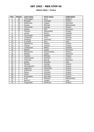#### **Athens Open / Greece**

| Pos.            | <b>Points</b>           | Last name        | <b>First name</b> | Federation  |
|-----------------|-------------------------|------------------|-------------------|-------------|
| 1               | 30                      | Verbruggen       | Gery              | Belgium     |
| $\overline{2}$  | 21                      | Maragos          | Leonidas          | Greece      |
| $\overline{3}$  | 18                      | Holterman        | Casper            | Denmark     |
| 4               | 15                      | Sassen           | Michael           | Netherlands |
| 5               | 12                      | Tsavtaridis      | George            | Greece      |
| 6               | 10                      | Sydow            | Ralf              | Germany     |
| $\overline{7}$  | 6                       | <b>Tzounis</b>   | Alexandros        | Greece      |
| 8               | 6                       | Larsen           | Martin            | Sweden      |
| 9               | 6                       | Tsouroupis       | Angelos           | Greece      |
| 10              | 5                       | Torgersen        | Tore              | Norway      |
| 11              | $\overline{5}$          | Karetsos         | Dimitrios         | Greece      |
| 12              | $\overline{5}$          | D achille        | <b>Nico</b>       | Italy       |
| 13              | $\overline{4}$          | Sakellariou      | Kostas            | Greece      |
| 14              | $\overline{\mathbf{4}}$ | <b>Tzenos</b>    | Ioannis           | Greece      |
| 15              | $\overline{4}$          | Linderholm       | <b>Niklas</b>     | Sweden      |
| $\overline{16}$ | $\overline{4}$          | Agerbo           | Jesper            | Denmark     |
| 17              | $\overline{\mathbf{4}}$ | Patsaouras       | Epaminontas       | Greece      |
| 18              | $\overline{3}$          | Nielsen          | Jesper            | Denmark     |
| 19              | $\overline{3}$          | Tripakis         | Michael           | Greece      |
| 20              | $\overline{3}$          | Fleischacker     | Gerhard           | Austria     |
| 21              | $\overline{3}$          | Thomsen          | <b>Bjarne</b>     | Denmark     |
| 22              | $\overline{3}$          | Spada            | Amadeo            | Italy       |
| 23              | $\overline{2}$          | Patsalis         | George            | Greece      |
| $\overline{24}$ | $\overline{2}$          | Haritopoulos     | <b>Nikolaos</b>   | Greece      |
| $\overline{25}$ | $\overline{2}$          | Xagoraris        | Panaretos         | Greece      |
| 26              | $\overline{2}$          | <b>Stathatos</b> | Ioannis           | Greece      |
| 27              | $\overline{2}$          | Panou            | Christos          | Greece      |
| 28              | 1                       | Gross            | Thomas            | Austria     |
| 29              | 1                       | Kiriazoglou      | Sokrates          | Greece      |
| 30              | 1                       | Krull            | Maarten           | Netherlands |
| 31              | 1                       | <b>Mertiris</b>  | Joseph            | Italy       |
| 32              | 1                       | Grigoriadis      | Dimitrios         | Greece      |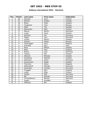### **Aalborg International 2002 / Denmark**

| Pos.            | <b>Points</b>           | Last name      | First name   | Federation |
|-----------------|-------------------------|----------------|--------------|------------|
| 1               | 30                      | Konsteri       | Sami         | Finland    |
| $\overline{a}$  | 21                      | Öhman          | Anders       | Sweden     |
| $\overline{3}$  | 18                      | Åhlen          | Peter        | Sweden     |
| 4               | 15                      | Torgersen      | Tore         | Norway     |
| 5               | 12                      | Mack           | Tim          | Sweden     |
| 6               | 10                      | Mannonen       | Petri        | Finland    |
| $\overline{7}$  | 6                       | Wozny          | Martin       | Denmark    |
| 8               | 6                       | Luoto          | Sami         | Finland    |
| 9               | 6                       | Günther        | Kai          | Germany    |
| 10              | $\overline{5}$          | Öager          | Lars         | Denmark    |
| 11              | $\overline{5}$          | Larsen         | Martin       | Sweden     |
| 12              | $\overline{5}$          | Hansen         | Petter       | Norway     |
| 13              | $\overline{\mathbf{4}}$ | Verbruggen     | Gery         | Belgium    |
| 14              | $\overline{4}$          | D'Achille      | <b>Nico</b>  | Italy      |
| 15              | $\overline{\mathbf{4}}$ | Roos           | Mikael       | Sweden     |
| 16              | $\overline{\mathbf{4}}$ | Moor           | Paul         | England    |
| 17              | 4                       | Nickel         | Jens         | Germany    |
| 18              | $\overline{3}$          | Tiainen        | Olli         | Finland    |
| 19              | $\overline{3}$          | Ahlqvist       | Michael      | Sweden     |
| 20              | $\overline{3}$          | Daneberg       | Mathias      | Sweden     |
| 21              | $\overline{3}$          | Aahmann        | Sören        | Denmark    |
| 22              | $\overline{3}$          | Gustavsson     | Roger        | Sweden     |
| 23              | $\overline{2}$          | Thornton       | <b>Steve</b> | England    |
| 24              | $\overline{2}$          | Wittendorff    | Michael      | Denmark    |
| $\overline{25}$ | $\overline{2}$          | Hartmann       | Carsten      | Germany    |
| 26              | $\overline{2}$          | Froggatt       | <b>Nick</b>  | England    |
| 27              | $\overline{2}$          | Luoto          | Mika         | Finland    |
| 28              | 1                       | Sydow          | Ralf         | Germany    |
| 29              | 1                       | Bai            | Michael      | Denmark    |
| 30              | 1                       | Christoffersen | Morten       | Denmark    |
| 31              | 1                       | Spada          | Amedeo       | Italy      |
| 32              | 1                       | Hoffman        | Bill         | Sweden     |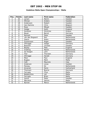### **Vodafone Malta Open Championships / Malta**

| Pos.                     | <b>Points</b>           | Last name       | <b>First name</b> | Federation  |
|--------------------------|-------------------------|-----------------|-------------------|-------------|
| 1                        | 30                      | Larsen          | Martin            | Sweden      |
| $\overline{a}$           | 21                      | Öhman           | Anders            | Sweden      |
| $\overline{3}$           | 18                      | Andersson       | Robert            | Sweden      |
| $\overline{\mathcal{L}}$ | 15                      | Van Damme       | Chris             | Belgium     |
| 5                        | 12                      | Roos            | Mikael            | Sweden      |
| 6                        | 10                      | Hodge           | Keith             | England     |
| 7                        | 6                       | Karetsos        | Dimitrios         | Greece      |
| 8                        | 6                       | <b>Bauer</b>    | Bernd             | Germany     |
| 9                        | 6                       | Nymark          | Peter             | Sweden      |
| 10                       | $\overline{5}$          | van den Bogaard | Ron               | Netherlands |
| 11                       | $\overline{5}$          | Geeris          | Robin             | Netherlands |
| 12                       | $\overline{5}$          | Gustavsson      | Roger             | Sweden      |
| 13                       | $\overline{\mathbf{4}}$ | Ohlrogge        | Holger            | Germany     |
| 14                       | $\overline{4}$          | Boström         | Christer          | Sweden      |
| $\overline{15}$          | $\overline{4}$          | Bayley          | Pete              | England     |
| $\overline{16}$          | $\overline{4}$          | Snelting        | Martin            | Netherlands |
| 17                       | $\overline{\mathbf{4}}$ | de Hoogen       | John              | Netherlands |
| 18                       | $\overline{3}$          | Filor           | Thorsten          | Germany     |
| 19                       | $\overline{3}$          | Ohlrogge        | Harald            | Germany     |
| 20                       | $\overline{3}$          | Moor            | Paul              | England     |
| $\overline{21}$          | $\overline{3}$          | Bugeja          | Mark              | Malta       |
| 22                       | $\overline{3}$          | Celli           | Maurizio          | Italy       |
| 23                       | $\overline{2}$          | Anderson        | Jonas             | Sweden      |
| $\overline{24}$          | $\overline{2}$          | Piereau         | Ed                | Netherlands |
| $\overline{25}$          | $\overline{2}$          | Ancarani        | Dario             | Switzerland |
| 26                       | $\overline{2}$          | Thomsen         | <b>Bjarne</b>     | Denmark     |
| 27                       | $\overline{2}$          | Farrugia        | Clive             | Malta       |
| 28                       | $\mathbf{1}$            | Baldacchino     | Leli              | Malta       |
| 29                       | 1                       | Farrugia        | <b>Brian</b>      | Malta       |
| 30                       | 1                       | Sainio          | Peter             | Sweden      |
| 31                       | 1                       | Mercieca        | Dennis            | Malta       |
| 32                       | 1                       | Bijman          | Marco             | Netherlands |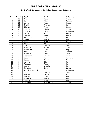### **24 Trofeo Internacional Ciudad de Barcelona / Catalonia**

| Pos.                     | <b>Points</b>           | Last name       | <b>First name</b> | <b>Federation</b> |
|--------------------------|-------------------------|-----------------|-------------------|-------------------|
| 1                        | 30                      | Andersson       | Robert            | Sweden            |
| $\overline{2}$           | 21                      | Bai             | Michael           | Denmark           |
| $\overline{3}$           | 18                      | Larsen          | Martin            | Sweden            |
| $\overline{\mathcal{L}}$ | 15                      | Triulci         | Andrea            | Italy             |
| 5                        | 12                      | Öhman           | Anders            | Sweden            |
| $\overline{6}$           | 10                      | Karetsos        | <b>Dimitris</b>   | Greece            |
| $\overline{7}$           | 6                       | Sassen          | Michael           | Netherlands       |
| 8                        | 6                       | Groos           | Thomas            | Austria           |
| 9                        | 6                       | Ohlsson         | Mats              | Sweden            |
| 10                       | 5                       | Van Eyken       | Ives              | Belgium           |
| 11                       | $\overline{5}$          | Ovide           | Marcial           | Spain             |
| 12                       | $\overline{5}$          | Zabel           | Manfred           | Germany           |
| 13                       | $\overline{\mathbf{4}}$ | <b>Rives</b>    | Mickel            | France            |
| 14                       | $\overline{\mathbf{4}}$ | Garcia          | Gonzalo           | Spain             |
| 15                       | $\overline{\mathbf{4}}$ | Frouvelle       | Serge             | France            |
| $\overline{16}$          | $\overline{4}$          | Mantovani       | Lucca             | Italy             |
| 17                       | 4                       | Ahlen           | Peter             | Sweden            |
| 18                       | 3                       | Montfort        | Lluis             | Spain             |
| 19                       | $\overline{3}$          | Rodriguez       | Francisco         | Spain             |
| 20                       | $\overline{3}$          | Sydow           | Ralf              | Germany           |
| 21                       | $\overline{3}$          | Spada           | Amadeo            | Italy             |
| 22                       | $\overline{3}$          | Valente         | Giuliano          | Italy             |
| 23                       | $\overline{2}$          | Rossano         | Rossi             | Italy             |
| 24                       | $\overline{2}$          | Vaglia          | Vittorio          | Italy             |
| $\overline{25}$          | $\overline{2}$          | Torgersen       | Tore              | Norway            |
| 26                       | $\overline{2}$          | Van den Boogard | Ron               | Netherlands       |
| 27                       | $\overline{2}$          | Sanchez         | Pierre Luc        | France            |
| 28                       | 1                       | Amenta          | Jose Angel        | Italy             |
| 29                       | 1                       | Pascual         | Erwin             | Spain             |
| 30                       | 1                       | Romussi         | Marco             | Italy             |
| 31                       | 1                       | Colomer         | Artur             | Spain             |
| 32                       | 1                       | Lankinen        | Pekka Juhani      | Finland           |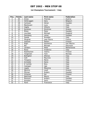### **1st Champions Tournament / Italy**

| Pos.                     | <b>Points</b>           | Last name       | First name  | Federation  |
|--------------------------|-------------------------|-----------------|-------------|-------------|
| 1                        | 30                      | Gross           | Thomas      | Austria     |
| $\overline{2}$           | 21                      | Verbruggen      | Gery        | Belgium     |
| $\overline{3}$           | 18                      | Carlsson        | Göran       | Sweden      |
| $\overline{\mathcal{L}}$ | 15                      | Mantovani       | Luca        | Italy       |
| 5                        | 12                      | Vaglia          | Vittorio    | Italy       |
| 6                        | 10                      | Karetsos        | Dimitrios   | Greece      |
| $\overline{7}$           | 6                       | Åhlen           | Peter       | Sweden      |
| 8                        | 6                       | Louridas        | Michael     | England     |
| 9                        | 6                       | Damberg         | Johan       | Sweden      |
| 10                       | 5                       | Spada           | Amedeo      | Italy       |
| 11                       | $\overline{5}$          | Paugnat         | Jean Pierre | France      |
| 12                       | $\overline{5}$          | Salonen         | Petteri     | Finland     |
| 13                       | $\overline{\mathbf{4}}$ | Righi           | Domenico    | San Marino  |
| 14                       | $\overline{\mathbf{4}}$ | Bai             | Michael     | Denmark     |
| 15                       | $\overline{\mathbf{4}}$ | Lenders         | Peter       | Netherlands |
| $\overline{16}$          | $\overline{\mathbf{4}}$ | Rossi           | Frederico   | Italy       |
| 17                       | $\overline{\mathbf{4}}$ | Raatikainen     | Teemu       | Finland     |
| 18                       | $\overline{3}$          | Torgersen       | Tore        | Norway      |
| 19                       | $\overline{3}$          | Bottiglieri     | Alfonso     | Italy       |
| 20                       | $\overline{3}$          | Celli           | Maurizio    | Italy       |
| $\overline{21}$          | $\overline{3}$          | Timpano         | Mario       | Italy       |
| 22                       | $\overline{3}$          | Armiellei       | Dario       | Italy       |
| 23                       | $\overline{2}$          | D'Achille       | <b>Nico</b> | Italy       |
| 24                       | $\overline{2}$          | Castagni        | Ugo         | Italy       |
| $\overline{25}$          | $\overline{2}$          | Ligato          | Massimo     | Italy       |
| 26                       | $\overline{2}$          | <b>Mertiris</b> | Josef       | Greece      |
| 27                       | $\overline{2}$          | Öhman           | Anders      | Sweden      |
| 28                       | 1                       | Virtanen        | Kai         | Finland     |
| 29                       | 1                       | Malchiodi       | Mauro       | Italy       |
| 30                       | 1                       | Åkesson         | Anders      | Sweden      |
| 31                       | 1                       | Konsteri        | Sami        | Finland     |
| 32                       | 1                       | Ponti           | Francesco   | Italy       |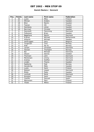#### **Danish Masters / Denmark**

| Pos.                     | <b>Points</b>           | Last name    | First name   | Federation  |
|--------------------------|-------------------------|--------------|--------------|-------------|
| 1                        | 30                      | Luoto        | Mika         | Finland     |
| $\overline{2}$           | 21                      | Öhman        | Anders       | Sweden      |
| $\overline{3}$           | 18                      | <b>Blixt</b> | Martin       | Sweden      |
| $\overline{\mathcal{A}}$ | 15                      | Tiainen      | Olli         | Finland     |
| 5                        | 12                      | Damberg      | Johan        | Sweden      |
| 6                        | 10                      | Norrman      | Christer     | Sweden      |
| $\overline{7}$           | 6                       | Damstoft     | Flemming     | Denmark     |
| 8                        | 6                       | Folkesson    | <b>Brian</b> | Sweden      |
| 9                        | 6                       | Bøgehave     | Martin       | Denmark     |
| 10                       | 5                       | Krämer       | Michael      | Netherlands |
| 11                       | $\overline{5}$          | Ahlqvist     | Michael      | Sweden      |
| 12                       | $\overline{5}$          | Verbruggen   | Gery         | Belgium     |
| 13                       | $\overline{4}$          | Torgersen    | Tore         | Norway      |
| 14                       | $\overline{4}$          | Eide         | Per Kr.      | Norway      |
| 15                       | $\overline{\mathbf{4}}$ | Larsen       | Christian    | Denmark     |
| 16                       | $\overline{4}$          | Hansen       | Thorbjørn    | Norway      |
| 17                       | $\overline{4}$          | Bai          | Michael      | Denmark     |
| 18                       | $\overline{3}$          | Olsson       | Dennis       | Sweden      |
| 19                       | $\overline{3}$          | Thomsen      | John         | Denmark     |
| 20                       | $\overline{3}$          | Mortensen    | Jimmy        | Denmark     |
| $\overline{21}$          | $\overline{3}$          | Andrea       | Steffen      | Denmark     |
| 22                       | $\overline{3}$          | Lindén       | Thoms        | Sweden      |
| 23                       | $\overline{2}$          | Egebjerg     | Eigil        | Norway      |
| 24                       | $\overline{2}$          | Ganebring    | Mats         | Sweden      |
| $\overline{25}$          | $\overline{2}$          | Luoto        | Sami         | Finland     |
| 26                       | $\overline{2}$          | Nielsen      | Jesper       | Denmark     |
| 27                       | $\overline{2}$          | Åhlén        | Peter        | Sweden      |
| 28                       | 1                       | Lomholt      | René         | Denmark     |
| 29                       | 1                       | Konsteri     | Sami         | Finland     |
| 30                       | $\mathbf{1}$            | Castillo     | Samuel       | Spain       |
| 31                       | 1                       | Mannonen     | Petri        | Finland     |
| 32                       | 1                       | Ylitalo      | Mikko        | Finland     |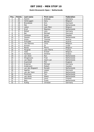### **Dutch Brunswick Open / Netherlands**

| Pos.            | <b>Points</b>           | Last name        | <b>First name</b> | Federation  |
|-----------------|-------------------------|------------------|-------------------|-------------|
| 1               | 30                      | Humm             | Andreas           | Germany     |
| $\overline{a}$  | 21                      | Verbruggen       | Gery              | Belgium     |
| $\overline{3}$  | 18                      | <b>Brondsted</b> | <b>Kim</b>        | Denmark     |
| 4               | 15                      | Mol              | Roel              | Netherlands |
| 5               | 12                      | Lebon            | Jean Marc         | Belgium     |
| 6               | 10                      | Krull            | Maarten           | Netherlands |
| $\overline{7}$  | 6                       | Nickel           | Jens              | Germany     |
| 8               | 6                       | Bai              | Michael           | Denmark     |
| 9               | 6                       | Carlsson         | Goran             | Sweden      |
| 10              | $\overline{5}$          | Sassen           | Michael           | Netherlands |
| 11              | $\overline{5}$          | Gross            | Thomas            | Austria     |
| 12              | $\overline{5}$          | Schroder         | Nikolai           | Austria     |
| 13              | $\overline{\mathbf{4}}$ | van Damme        | Chris             | Belgium     |
| 14              | $\overline{\mathbf{4}}$ | Aviram           | <b>Or</b>         | Israel      |
| $\overline{15}$ | $\overline{4}$          | Ravez            | Pierre            | Belgium     |
| $\overline{16}$ | $\overline{4}$          | Paugnat          | Jean-Pierre       | France      |
| 17              | $\overline{4}$          | Vaes             | Kristof           | Belgium     |
| 18              | $\overline{3}$          | Karetsos         | <b>Dimitris</b>   | Greece      |
| 19              | $\overline{3}$          | van Zeist        | Ron               | Netherlands |
| 20              | $\overline{3}$          | Dingenouts       | Fred              | Netherlands |
| 21              | $\overline{3}$          | van Baest        | Geert-Jan         | Netherlands |
| 22              | $\overline{3}$          | Scammell         | Phil              | England     |
| 23              | $\overline{2}$          | Kraemer          | Michael           | Germany     |
| $\overline{24}$ | $\overline{2}$          | Andersson        | Robert            | Sweden      |
| 25              | $\overline{2}$          | van den Bogaard  | Ronald            | Netherlands |
| 26              | $\overline{2}$          | Agerbo           | Jesper            | Denmark     |
| 27              | $\overline{2}$          | van der Veen     | Wim               | Netherlands |
| 28              | 1                       | Plummen          | Ton               | Netherlands |
| 29              | 1                       | van Aerle        | Edwin             | Netherlands |
| 30              | 1                       | Helminen         | Jouni             | Finland     |
| 31              | 1                       | Bais             | Frank             | Netherlands |
| $\overline{32}$ | 1                       | Kuttig           | Christan          | Germany     |